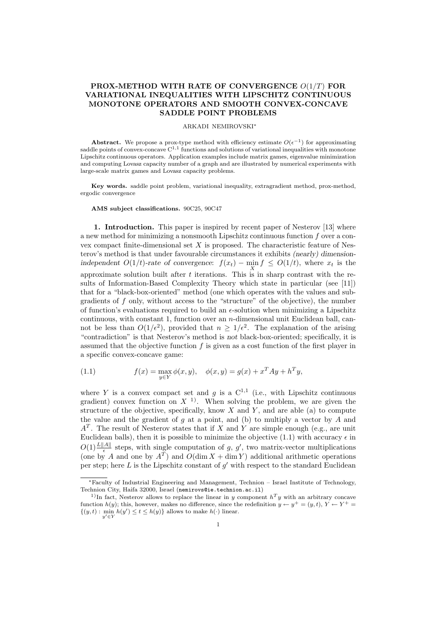# PROX-METHOD WITH RATE OF CONVERGENCE O(1/T) FOR VARIATIONAL INEQUALITIES WITH LIPSCHITZ CONTINUOUS MONOTONE OPERATORS AND SMOOTH CONVEX-CONCAVE SADDLE POINT PROBLEMS

## ARKADI NEMIROVSKI<sup>∗</sup>

Abstract. We propose a prox-type method with efficiency estimate  $O(\epsilon^{-1})$  for approximating saddle points of convex-concave  $C^{1,1}$  functions and solutions of variational inequalities with monotone Lipschitz continuous operators. Application examples include matrix games, eigenvalue minimization and computing Lovasz capacity number of a graph and are illustrated by numerical experiments with large-scale matrix games and Lovasz capacity problems.

Key words. saddle point problem, variational inequality, extragradient method, prox-method, ergodic convergence

#### AMS subject classifications. 90C25, 90C47

1. Introduction. This paper is inspired by recent paper of Nesterov [13] where a new method for minimizing a nonsmooth Lipschitz continuous function f over a convex compact finite-dimensional set  $X$  is proposed. The characteristic feature of Nesterov's method is that under favourable circumstances it exhibits (nearly) dimensionindependent  $O(1/t)$ -rate of convergence:  $f(x_t) - \min_X f \leq O(1/t)$ , where  $x_t$  is the approximate solution built after t iterations. This is in sharp contrast with the results of Information-Based Complexity Theory which state in particular (see [11]) that for a "black-box-oriented" method (one which operates with the values and subgradients of f only, without access to the "structure" of the objective), the number of function's evaluations required to build an  $\epsilon$ -solution when minimizing a Lipschitz continuous, with constant 1, function over an  $n$ -dimensional unit Euclidean ball, cannot be less than  $O(1/\epsilon^2)$ , provided that  $n \geq 1/\epsilon^2$ . The explanation of the arising "contradiction" is that Nesterov's method is not black-box-oriented; specifically, it is assumed that the objective function  $f$  is given as a cost function of the first player in a specific convex-concave game:

(1.1) 
$$
f(x) = \max_{y \in Y} \phi(x, y), \quad \phi(x, y) = g(x) + x^T A y + h^T y,
$$

where Y is a convex compact set and g is a  $C^{1,1}$  (i.e., with Lipschitz continuous gradient) convex function on  $X^{-1}$ . When solving the problem, we are given the structure of the objective, specifically, know  $X$  and  $Y$ , and are able (a) to compute the value and the gradient of  $g$  at a point, and (b) to multiply a vector by  $A$  and  $A<sup>T</sup>$ . The result of Nesterov states that if X and Y are simple enough (e.g., are unit Euclidean balls), then it is possible to minimize the objective (1.1) with accuracy  $\epsilon$  in  $O(1) \frac{L||A||}{\epsilon}$  steps, with single computation of g, g', two matrix-vector multiplications (one by A and one by  $A^T$ ) and  $O(\dim X + \dim Y)$  additional arithmetic operations per step; here  $L$  is the Lipschitz constant of  $g'$  with respect to the standard Euclidean

<sup>∗</sup>Faculty of Industrial Engineering and Management, Technion – Israel Institute of Technology, Technion City, Haifa 32000, Israel (nemirovs@ie.technion.ac.il)

<sup>&</sup>lt;sup>1)</sup>In fact, Nesterov allows to replace the linear in y component  $h<sup>T</sup>y$  with an arbitrary concave function  $h(y)$ ; this, however, makes no difference, since the redefinition  $y \leftarrow y^+ = (y, t), Y \leftarrow Y^+ =$  $\{(y, t) : \min_{y' \in Y} h(y') \le t \le h(y)\}\$ allows to make  $h(\cdot)$  linear.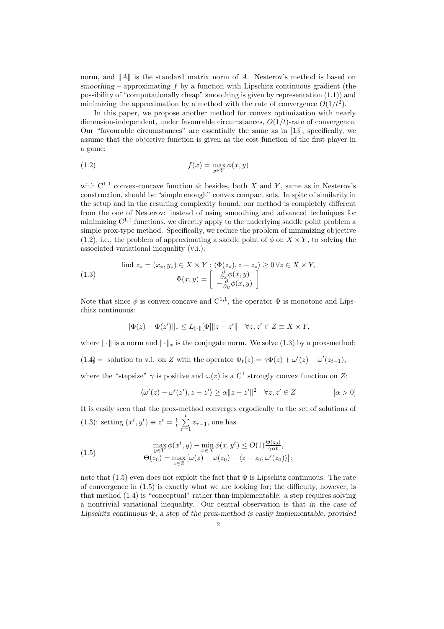norm, and  $||A||$  is the standard matrix norm of A. Nesterov's method is based on smoothing – approximating  $f$  by a function with Lipschitz continuous gradient (the possibility of "computationally cheap" smoothing is given by representation (1.1)) and minimizing the approximation by a method with the rate of convergence  $O(1/t^2)$ .

In this paper, we propose another method for convex optimization with nearly dimension-independent, under favourable circumstances,  $O(1/t)$ -rate of convergence. Our "favourable circumstances" are essentially the same as in [13], specifically, we assume that the objective function is given as the cost function of the first player in a game:

(1.2) 
$$
f(x) = \max_{y \in Y} \phi(x, y)
$$

with  $C^{1,1}$  convex-concave function  $\phi$ ; besides, both X and Y, same as in Nesterov's construction, should be "simple enough" convex compact sets. In spite of similarity in the setup and in the resulting complexity bound, our method is completely different from the one of Nesterov: instead of using smoothing and advanced techniques for minimizing  $C^{1,1}$  functions, we directly apply to the underlying saddle point problem a simple prox-type method. Specifically, we reduce the problem of minimizing objective (1.2), i.e., the problem of approximating a saddle point of  $\phi$  on  $X \times Y$ , to solving the associated variational inequality (v.i.):

(1.3)

\n
$$
\text{find } z_* = (x_*, y_*) \in X \times Y : \langle \Phi(z_*), z - z_* \rangle \ge 0 \,\forall z \in X \times Y,
$$
\n
$$
\Phi(x, y) = \begin{bmatrix} \frac{\partial}{\partial x} \phi(x, y) \\ -\frac{\partial}{\partial y} \phi(x, y) \end{bmatrix}
$$

Note that since  $\phi$  is convex-concave and  $C^{1,1}$ , the operator  $\Phi$  is monotone and Lipschitz continuous:

$$
\|\Phi(z) - \Phi(z')\|_{*} \le L_{\|\cdot\|}[\Phi] \|z - z'\| \quad \forall z, z' \in Z \equiv X \times Y,
$$

where  $\|\cdot\|$  is a norm and  $\|\cdot\|_*$  is the conjugate norm. We solve (1.3) by a prox-method:  $(1.4)$  = solution to v.i. on Z with the operator  $\Phi_t(z) = \gamma \Phi(z) + \omega'(z) - \omega'(z_{t-1}),$ 

where the "stepsize" 
$$
\gamma
$$
 is positive and  $\omega(z)$  is a C<sup>1</sup> strongly convex function on Z:

$$
\langle \omega'(z) - \omega'(z'), z - z' \rangle \ge \alpha \|z - z'\|^2 \quad \forall z, z' \in Z \qquad [\alpha > 0]
$$

It is easily seen that the prox-method converges ergodically to the set of solutions of (1.3): setting  $(x^t, y^t) \equiv z^t = \frac{1}{t}$  $\frac{t}{ }$  $\sum_{\tau=1} z_{\tau-1}$ , one has

(1.5) 
$$
\max_{y \in Y} \phi(x^t, y) - \min_{x \in X} \phi(x, y^t) \le O(1) \frac{\Theta(z_0)}{\gamma \alpha t}, \Theta(z_0) = \max_{z \in Z} [\omega(z) - \omega(z_0) - \langle z - z_0, \omega'(z_0) \rangle];
$$

note that  $(1.5)$  even does not exploit the fact that  $\Phi$  is Lipschitz continuous. The rate of convergence in (1.5) is exactly what we are looking for; the difficulty, however, is that method (1.4) is "conceptual" rather than implementable: a step requires solving a nontrivial variational inequality. Our central observation is that in the case of Lipschitz continuous  $\Phi$ , a step of the prox-method is easily implementable, provided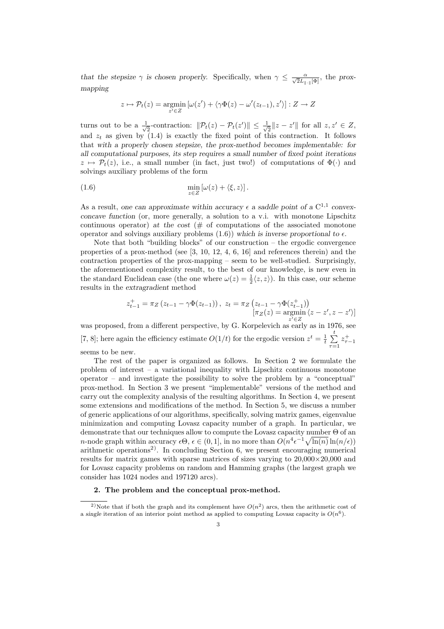that the stepsize  $\gamma$  is chosen properly. Specifically, when  $\gamma \leq \frac{\alpha}{\sqrt{2}L_{\parallel \cdot \parallel}[\Phi]}$ , the proxmapping

$$
z \mapsto \mathcal{P}_t(z) = \operatorname*{argmin}_{z' \in Z} \left[ \omega(z') + \langle \gamma \Phi(z) - \omega'(z_{t-1}), z' \rangle \right] : Z \to Z
$$

turns out to be a  $\frac{1}{4}$  $\frac{1}{2}$ -contraction:  $\|\mathcal{P}_t(z) - \mathcal{P}_t(z')\| \leq \frac{1}{\sqrt{2}}$  $\frac{1}{2}$ ||  $z - z'$ || for all  $z, z' \in Z$ , and  $z_t$  as given by (1.4) is exactly the fixed point of this contraction. It follows that with a properly chosen stepsize, the prox-method becomes implementable: for all computational purposes, its step requires a small number of fixed point iterations  $z \mapsto \mathcal{P}_t(z)$ , i.e., a small number (in fact, just two!) of computations of  $\Phi(\cdot)$  and solvings auxiliary problems of the form

(1.6) 
$$
\min_{z \in Z} \left[ \omega(z) + \langle \xi, z \rangle \right].
$$

As a result, one can approximate within accuracy  $\epsilon$  a saddle point of a C<sup>1,1</sup> convexconcave function (or, more generally, a solution to a v.i. with monotone Lipschitz continuous operator) at the cost  $#$  of computations of the associated monotone operator and solvings auxiliary problems  $(1.6)$ ) which is inverse proportional to  $\epsilon$ .

Note that both "building blocks" of our construction – the ergodic convergence properties of a prox-method (see [3, 10, 12, 4, 6, 16] and references therein) and the contraction properties of the prox-mapping – seem to be well-studied. Surprisingly, the aforementioned complexity result, to the best of our knowledge, is new even in the standard Euclidean case (the one where  $\omega(z) = \frac{1}{2} \langle z, z \rangle$ ). In this case, our scheme results in the extragradient method

$$
z_{t-1}^{+} = \pi_Z (z_{t-1} - \gamma \Phi(z_{t-1})), \ z_t = \pi_Z (z_{t-1} - \gamma \Phi(z_{t-1}^{+}))
$$

$$
[\pi_Z(z) = \operatorname*{argmin}_{z' \in Z} \langle z - z', z - z' \rangle]
$$

was proposed, from a different perspective, by G. Korpelevich as early as in 1976, see [7, 8]; here again the efficiency estimate  $O(1/t)$  for the ergodic version  $z^t = \frac{1}{t}$  $\frac{t}{ }$  $\tau=1$  $z_{\tau-1}^+$ 

seems to be new.

The rest of the paper is organized as follows. In Section 2 we formulate the problem of interest – a variational inequality with Lipschitz continuous monotone operator – and investigate the possibility to solve the problem by a "conceptual" prox-method. In Section 3 we present "implementable" versions of the method and carry out the complexity analysis of the resulting algorithms. In Section 4, we present some extensions and modifications of the method. In Section 5, we discuss a number of generic applications of our algorithms, specifically, solving matrix games, eigenvalue minimization and computing Lovasz capacity number of a graph. In particular, we demonstrate that our techniques allow to compute the Lovasz capacity number Θ of an demonstrate that our techniques allow to compute the Lovasz capacity number  $\Theta$  or an <br>*n*-node graph within accuracy  $\epsilon \Theta$ ,  $\epsilon \in (0,1]$ , in no more than  $O(n^4 \epsilon^{-1} \sqrt{\ln(n)} \ln(n/\epsilon))$ arithmetic operations<sup>2)</sup>. In concluding Section 6, we present encouraging numerical results for matrix games with sparse matrices of sizes varying to  $20.000 \times 20.000$  and for Lovasz capacity problems on random and Hamming graphs (the largest graph we consider has 1024 nodes and 197120 arcs).

### 2. The problem and the conceptual prox-method.

<sup>&</sup>lt;sup>2</sup>)Note that if both the graph and its complement have  $O(n^2)$  arcs, then the arithmetic cost of a single iteration of an interior point method as applied to computing Lovasz capacity is  $O(n^6)$ .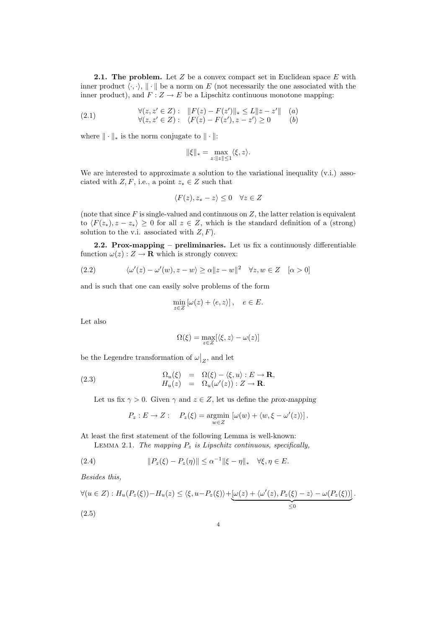**2.1. The problem.** Let  $Z$  be a convex compact set in Euclidean space  $E$  with inner product  $\langle \cdot, \cdot \rangle$ ,  $\|\cdot\|$  be a norm on E (not necessarily the one associated with the inner product), and  $\overline{F}$  :  $Z \rightarrow E$  be a Lipschitz continuous monotone mapping:

(2.1) 
$$
\forall (z, z' \in Z) : \|F(z) - F(z')\|_{*} \le L \|z - z'\| \quad (a) \forall (z, z' \in Z) : \langle F(z) - F(z'), z - z' \rangle \ge 0 \quad (b)
$$

where  $\|\cdot\|_*$  is the norm conjugate to  $\|\cdot\|$ :

$$
\|\xi\|_* = \max_{z:\|z\|\le 1} \langle \xi, z \rangle.
$$

We are interested to approximate a solution to the variational inequality (v.i.) associated with  $Z, F$ , i.e., a point  $z_* \in Z$  such that

$$
\langle F(z), z_* - z \rangle \le 0 \quad \forall z \in Z
$$

(note that since  $F$  is single-valued and continuous on  $Z$ , the latter relation is equivalent to  $\langle F(z_*) , z - z_* \rangle \geq 0$  for all  $z \in Z$ , which is the standard definition of a (strong) solution to the v.i. associated with  $Z, F$ ).

2.2. Prox-mapping – preliminaries. Let us fix a continuously differentiable function  $\omega(z): Z \to \mathbf{R}$  which is strongly convex:

(2.2) 
$$
\langle \omega'(z) - \omega'(w), z - w \rangle \ge \alpha \|z - w\|^2 \quad \forall z, w \in Z \quad [\alpha > 0]
$$

and is such that one can easily solve problems of the form

$$
\min_{z \in Z} \left[ \omega(z) + \langle e, z \rangle \right], \quad e \in E.
$$

Let also

$$
\Omega(\xi) = \max_{z \in Z} [\langle \xi, z \rangle - \omega(z)]
$$

be the Legendre transformation of  $\omega$  $\vert_{Z}$ , and let

(2.3) 
$$
\begin{array}{rcl}\n\Omega_u(\xi) & = & \Omega(\xi) - \langle \xi, u \rangle : E \to \mathbf{R}, \\
H_u(z) & = & \Omega_u(\omega'(z)) : Z \to \mathbf{R}.\n\end{array}
$$

Let us fix  $\gamma > 0$ . Given  $\gamma$  and  $z \in Z$ , let us define the prox-mapping

$$
P_z: E \to Z: \quad P_z(\xi) = \underset{w \in Z}{\text{argmin}} \left[ \omega(w) + \langle w, \xi - \omega'(z) \rangle \right].
$$

At least the first statement of the following Lemma is well-known: LEMMA 2.1. The mapping  $P_z$  is Lipschitz continuous, specifically,

(2.4) 
$$
||P_z(\xi) - P_z(\eta)|| \leq \alpha^{-1} ||\xi - \eta||_* \quad \forall \xi, \eta \in E.
$$

Besides this,

$$
\forall (u \in Z) : H_u(P_z(\xi)) - H_u(z) \le \langle \xi, u - P_z(\xi) \rangle + \underbrace{[\omega(z) + \langle \omega'(z), P_z(\xi) - z \rangle - \omega(P_z(\xi))]}_{\leq 0}.
$$
\n
$$
(2.5)
$$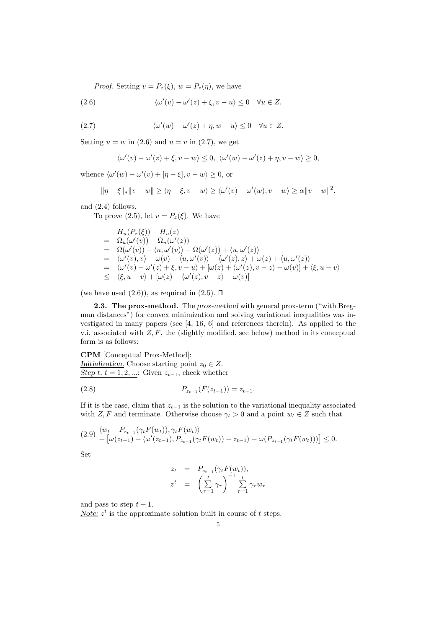*Proof.* Setting  $v = P_z(\xi)$ ,  $w = P_z(\eta)$ , we have

(2.6) 
$$
\langle \omega'(v) - \omega'(z) + \xi, v - u \rangle \leq 0 \quad \forall u \in Z.
$$

(2.7) 
$$
\langle \omega'(w) - \omega'(z) + \eta, w - u \rangle \leq 0 \quad \forall u \in Z.
$$

Setting  $u = w$  in (2.6) and  $u = v$  in (2.7), we get

$$
\langle \omega'(v) - \omega'(z) + \xi, v - w \rangle \le 0, \ \langle \omega'(w) - \omega'(z) + \eta, v - w \rangle \ge 0,
$$

whence  $\langle \omega'(w) - \omega'(v) + [\eta - \xi], v - w \rangle \ge 0$ , or

$$
\|\eta-\xi\|_{*}\|v-w\|\geq\langle\eta-\xi,v-w\rangle\geq\langle\omega'(v)-\omega'(w),v-w\rangle\geq\alpha\|v-w\|^2,
$$

and (2.4) follows.

To prove (2.5), let  $v = P_z(\xi)$ . We have

$$
H_u(P_z(\xi)) - H_u(z)
$$
  
=  $\Omega_u(\omega'(v)) - \Omega_u(\omega'(z))$   
=  $\Omega(\omega'(v)) - \langle u, \omega'(v) \rangle - \Omega(\omega'(z)) + \langle u, \omega'(z) \rangle$   
=  $\langle \omega'(v), v \rangle - \omega(v) - \langle u, \omega'(v) \rangle - \langle \omega'(z), z \rangle + \omega(z) + \langle u, \omega'(z) \rangle$   
=  $\langle \omega'(v) - \omega'(z) + \xi, v - u \rangle + [\omega(z) + \langle \omega'(z), v - z \rangle - \omega(v)] + \langle \xi, u - v \rangle$   
 $\leq \langle \xi, u - v \rangle + [\omega(z) + \langle \omega'(z), v - z \rangle - \omega(v)]$ 

(we have used  $(2.6)$ ), as required in  $(2.5)$ .  $\Box$ 

2.3. The prox-method. The prox-method with general prox-term ("with Bregman distances") for convex minimization and solving variational inequalities was investigated in many papers (see [4, 16, 6] and references therein). As applied to the v.i. associated with  $Z, F$ , the (slightly modified, see below) method in its conceptual form is as follows:

CPM [Conceptual Prox-Method]: Initialization. Choose starting point  $z_0 \in Z$ . Step t,  $t = 1, 2, ...$ : Given  $z_{t-1}$ , check whether

$$
(2.8) \t\t\t P_{z_{t-1}}(F(z_{t-1})) = z_{t-1}.
$$

If it is the case, claim that  $z_{t-1}$  is the solution to the variational inequality associated with  $Z, F$  and terminate. Otherwise choose  $\gamma_t > 0$  and a point  $w_t \in Z$  such that

$$
(2.9) \begin{cases} \langle w_t - P_{z_{t-1}}(\gamma_t F(w_t)), \gamma_t F(w_t) \rangle \\ + \left[ \omega(z_{t-1}) + \langle \omega'(z_{t-1}), P_{z_{t-1}}(\gamma_t F(w_t)) - z_{t-1} \rangle - \omega(P_{z_{t-1}}(\gamma_t F(w_t))) \right] \le 0. \end{cases}
$$

Set

$$
z_t = P_{z_{t-1}}(\gamma_t F(w_t)),
$$
  

$$
z^t = \left(\sum_{\tau=1}^t \gamma_\tau\right)^{-1} \sum_{\tau=1}^t \gamma_\tau w_\tau
$$

and pass to step  $t + 1$ .

Note:  $z^t$  is the approximate solution built in course of t steps.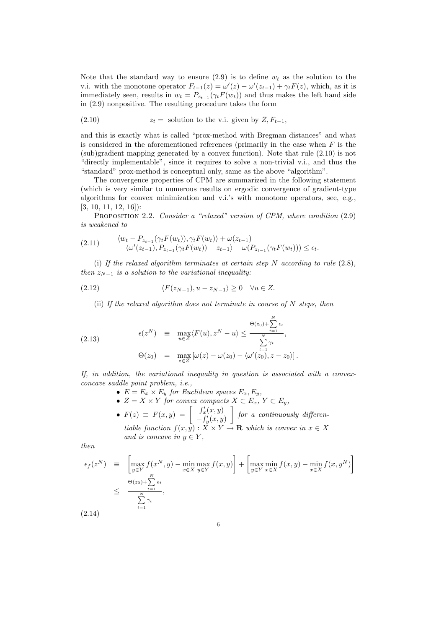Note that the standard way to ensure  $(2.9)$  is to define  $w_t$  as the solution to the v.i. with the monotone operator  $F_{t-1}(z) = \omega'(z) - \omega'(z_{t-1}) + \gamma_t F(z)$ , which, as it is immediately seen, results in  $w_t = P_{z_{t-1}}(\gamma_t F(w_t))$  and thus makes the left hand side in (2.9) nonpositive. The resulting procedure takes the form

(2.10) 
$$
z_t = \text{ solution to the v.i. given by } Z, F_{t-1},
$$

and this is exactly what is called "prox-method with Bregman distances" and what is considered in the aforementioned references (primarily in the case when  $F$  is the (sub)gradient mapping generated by a convex function). Note that rule (2.10) is not "directly implementable", since it requires to solve a non-trivial v.i., and thus the "standard" prox-method is conceptual only, same as the above "algorithm".

The convergence properties of CPM are summarized in the following statement (which is very similar to numerous results on ergodic convergence of gradient-type algorithms for convex minimization and v.i.'s with monotone operators, see, e.g., [3, 10, 11, 12, 16]):

PROPOSITION 2.2. Consider a "relaxed" version of CPM, where condition (2.9) is weakened to

$$
(2.11) \qquad \begin{aligned} \langle w_t - P_{z_{t-1}}(\gamma_t F(w_t)), \gamma_t F(w_t) \rangle + \omega(z_{t-1}) \\ + \langle \omega'(z_{t-1}), P_{z_{t-1}}(\gamma_t F(w_t)) - z_{t-1} \rangle - \omega(P_{z_{t-1}}(\gamma_t F(w_t))) \le \epsilon_t. \end{aligned}
$$

(i) If the relaxed algorithm terminates at certain step N according to rule  $(2.8)$ , then  $z_{N-1}$  is a solution to the variational inequality:

$$
(2.12) \t\t \langle F(z_{N-1}), u - z_{N-1} \rangle \ge 0 \quad \forall u \in Z.
$$

(ii) If the relaxed algorithm does not terminate in course of N steps, then

(2.13) 
$$
\epsilon(z^N) \equiv \max_{u \in Z} \langle F(u), z^N - u \rangle \leq \frac{\Theta(z_0) + \sum_{t=1}^N \epsilon_t}{\sum_{t=1}^N \gamma_t},
$$

$$
\Theta(z_0) = \max_{z \in Z} \left[ \omega(z) - \omega(z_0) - \langle \omega'(z_0), z - z_0 \rangle \right].
$$

If, in addition, the variational inequality in question is associated with a convexconcave saddle point problem, i.e.,

- $E = E_x \times E_y$  for Euclidean spaces  $E_x, E_y$ ,
- $Z = X \times Y$  for convex compacts  $X \subset E_x$ ,  $Y \subset E_y$ ,<br>
  $F(z) \equiv F(x, y) = \begin{bmatrix} f'_x(x, y) \\ f'_x(x, y) \end{bmatrix}$  for a continuou  $-f'_y(x, y)$  $\vec{a}$ for a continuously differen-
- tiable function  $f(x, y) : X \times Y \to \mathbf{R}$  which is convex in  $x \in X$ and is concave in  $y \in Y$ ,

then

$$
\epsilon_f(z^N) \equiv \left[ \max_{y \in Y} f(x^N, y) - \min_{x \in X} \max_{y \in Y} f(x, y) \right] + \left[ \max_{y \in Y} \min_{x \in X} f(x, y) - \min_{x \in X} f(x, y^N) \right]
$$
  
\n
$$
\leq \frac{\Theta(z_0) + \sum_{t=1}^N \epsilon_t}{\sum_{t=1}^N \gamma_t},
$$
  
\n(2.14)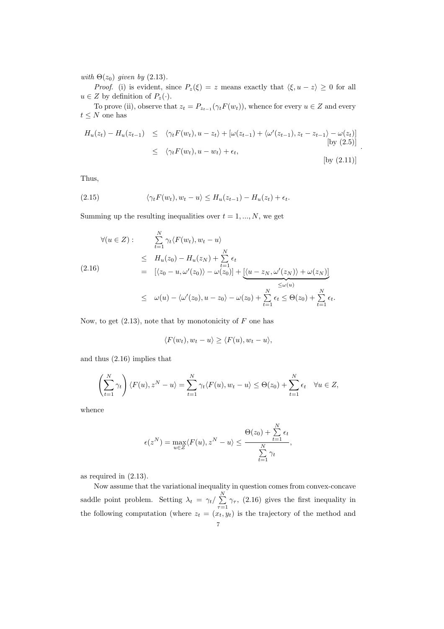with  $\Theta(z_0)$  given by (2.13).

*Proof.* (i) is evident, since  $P_z(\xi) = z$  means exactly that  $\langle \xi, u - z \rangle \geq 0$  for all  $u\in Z$  by definition of  $P_z(\cdot).$ 

To prove (ii), observe that  $z_t = P_{z_{t-1}}(\gamma_t F(w_t))$ , whence for every  $u \in Z$  and every  $t\leq N$  one has

$$
H_u(z_t) - H_u(z_{t-1}) \leq \langle \gamma_t F(w_t), u - z_t \rangle + [\omega(z_{t-1}) + \langle \omega'(z_{t-1}), z_t - z_{t-1} \rangle - \omega(z_t)]
$$
  
\n
$$
\leq \langle \gamma_t F(w_t), u - w_t \rangle + \epsilon_t,
$$
  
\n[by (2.11)]

.

Thus,

(2.15) 
$$
\langle \gamma_t F(w_t), w_t - u \rangle \leq H_u(z_{t-1}) - H_u(z_t) + \epsilon_t.
$$

Summing up the resulting inequalities over  $t = 1, ..., N$ , we get

$$
\forall (u \in Z) : \sum_{t=1}^{N} \gamma_t \langle F(w_t), w_t - u \rangle
$$
  
\n
$$
\leq H_u(z_0) - H_u(z_N) + \sum_{t=1}^{N} \epsilon_t
$$
  
\n
$$
= [ \langle z_0 - u, \omega'(z_0) \rangle - \omega(z_0) ] + \underbrace{[ \langle u - z_N, \omega'(z_N) \rangle + \omega(z_N) ]}_{\leq \omega(u)}
$$
  
\n
$$
\leq \omega(u) - \langle \omega'(z_0), u - z_0 \rangle - \omega(z_0) + \sum_{t=1}^{N} \epsilon_t \leq \Theta(z_0) + \sum_{t=1}^{N} \epsilon_t.
$$

Now, to get  $(2.13)$ , note that by monotonicity of F one has

$$
\langle F(w_t), w_t - u \rangle \ge \langle F(u), w_t - u \rangle,
$$

and thus (2.16) implies that

$$
\left(\sum_{t=1}^N \gamma_t\right) \langle F(u), z^N - u \rangle = \sum_{t=1}^N \gamma_t \langle F(u), w_t - u \rangle \leq \Theta(z_0) + \sum_{t=1}^N \epsilon_t \quad \forall u \in Z,
$$

whence

$$
\epsilon(z^N) = \max_{u \in Z} \langle F(u), z^N - u \rangle \le \frac{\Theta(z_0) + \sum_{t=1}^N \epsilon_t}{\sum_{t=1}^N \gamma_t},
$$

as required in (2.13).

Now assume that the variational inequality in question comes from convex-concave saddle point problem. Setting  $\lambda_t = \gamma_t / \sum_{i=1}^{N}$  $\sum_{\tau=1}$   $\gamma_{\tau}$ , (2.16) gives the first inequality in the following computation (where  $z_t = (x_t, y_t)$  is the trajectory of the method and 7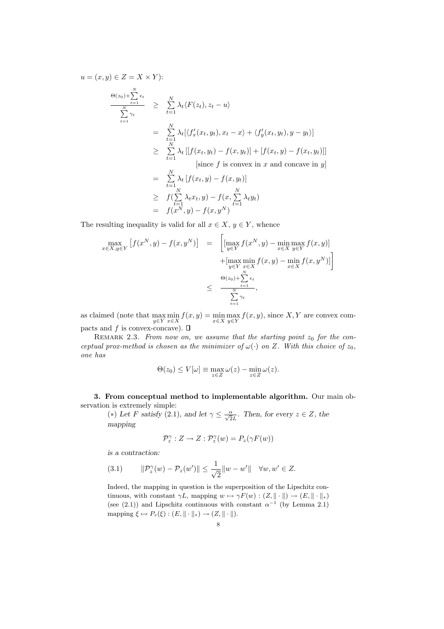$$
u = (x, y) \in Z = X \times Y):
$$
  
\n
$$
\frac{\Theta(z_0) + \sum_{t=1}^N \epsilon_t}{\sum_{t=1}^N \gamma_t} \geq \sum_{t=1}^N \lambda_t \langle F(z_t), z_t - u \rangle
$$
  
\n
$$
= \sum_{t=1}^N \lambda_t \left[ \langle f'_x(x_t, y_t), x_t - x \rangle + \langle f'_y(x_t, y_t), y - y_t \rangle \right]
$$
  
\n
$$
\geq \sum_{t=1}^N \lambda_t \left[ [f(x_t, y_t) - f(x, y_t)] + [f(x_t, y) - f(x_t, y_t)] \right]
$$
  
\n[since f is convex in x and concave in y]  
\n
$$
= \sum_{t=1}^N \lambda_t \left[ f(x_t, y) - f(x, y_t) \right]
$$
  
\n
$$
\geq f(\sum_{t=1}^N \lambda_t x_t, y) - f(x, \sum_{t=1}^N \lambda_t y_t)
$$
  
\n
$$
= f(x^N, y) - f(x, y^N)
$$

The resulting inequality is valid for all  $x \in X$ ,  $y \in Y$ , whence

$$
\max_{x \in X, y \in Y} \left[ f(x^N, y) - f(x, y^N) \right] = \left[ \left[ \max_{y \in Y} f(x^N, y) - \min_{x \in X} \max_{y \in Y} f(x, y) \right] + \left[ \max_{y \in Y} \min_{x \in X} f(x, y) - \min_{x \in X} f(x, y^N) \right] \right]
$$
  

$$
\leq \frac{\Theta(z_0) + \sum_{t=1}^N \epsilon_t}{\sum_{t=1}^N \gamma_t},
$$

as claimed (note that  $\max_{y \in Y} \min_{x \in X} f(x, y) = \min_{x \in X} \max_{y \in Y} f(x, y)$ , since X, Y are convex compacts and  $f$  is convex-concave).  $\square$ 

REMARK 2.3. From now on, we assume that the starting point  $z_0$  for the conceptual prox-method is chosen as the minimizer of  $\omega(\cdot)$  on Z. With this choice of  $z_0$ , one has

$$
\Theta(z_0) \le V[\omega] \equiv \max_{z \in Z} \omega(z) - \min_{z \in Z} \omega(z).
$$

3. From conceptual method to implementable algorithm. Our main observation is extremely simple:

(\*) Let F satisfy (2.1), and let  $\gamma \leq \frac{\alpha}{\sqrt{2}L}$ . Then, for every  $z \in Z$ , the mapping

$$
\mathcal{P}_z^{\gamma}: Z \to Z : \mathcal{P}_z^{\gamma}(w) = P_z(\gamma F(w))
$$

is a contraction:

$$
(3.1) \qquad \|\mathcal{P}_z^{\gamma}(w) - \mathcal{P}_z(w')\| \le \frac{1}{\sqrt{2}} \|w - w'\| \quad \forall w, w' \in Z.
$$

Indeed, the mapping in question is the superposition of the Lipschitz continuous, with constant  $\gamma L$ , mapping  $w \mapsto \gamma F(w) : (Z, \|\cdot\|) \to (E, \|\cdot\|_*)$ (see (2.1)) and Lipschitz continuous with constant  $\alpha^{-1}$  (by Lemma 2.1) mapping  $\xi \mapsto P_z(\xi) : (E, \|\cdot\|_*) \to (Z, \|\cdot\|).$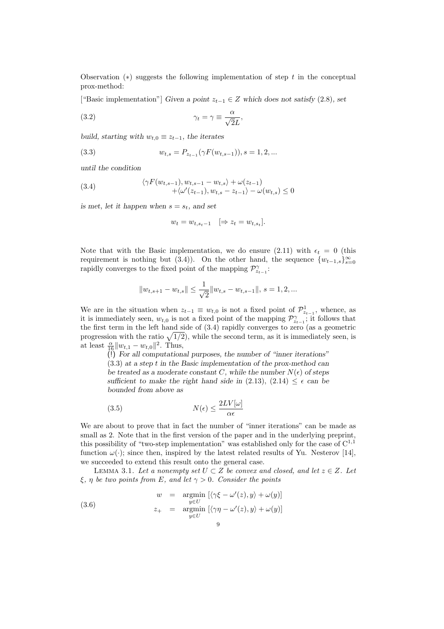Observation  $(*)$  suggests the following implementation of step t in the conceptual prox-method:

["Basic implementation"] Given a point  $z_{t-1} \in Z$  which does not satisfy (2.8), set

(3.2) 
$$
\gamma_t = \gamma \equiv \frac{\alpha}{\sqrt{2}L},
$$

build, starting with  $w_{t,0} \equiv z_{t-1}$ , the iterates

(3.3) 
$$
w_{t,s} = P_{z_{t-1}}(\gamma F(w_{t,s-1})), s = 1, 2, ...
$$

until the condition

(3.4) 
$$
\langle \gamma F(w_{t,s-1}), w_{t,s-1} - w_{t,s} \rangle + \omega(z_{t-1}) + \langle \omega'(z_{t-1}), w_{t,s} - z_{t-1} \rangle - \omega(w_{t,s}) \leq 0
$$

is met, let it happen when  $s = s_t$ , and set

$$
w_t = w_{t,s_t-1} \quad [\Rightarrow z_t = w_{t,s_t}].
$$

Note that with the Basic implementation, we do ensure (2.11) with  $\epsilon_t = 0$  (this requirement is nothing but (3.4)). On the other hand, the sequence  $\{w_{t-1,s}\}_{s=0}^{\infty}$ rapidly converges to the fixed point of the mapping  $\mathcal{P}_{z_{t-1}}^{\gamma}$ :

$$
\|w_{t,s+1}-w_{t,s}\|\leq \frac{1}{\sqrt{2}}\|w_{t,s}-w_{t,s-1}\|,\,s=1,2,\ldots
$$

We are in the situation when  $z_{t-1} \equiv w_{t,0}$  is not a fixed point of  $\mathcal{P}^1_{z_{t-1}}$ , whence, as it is immediately seen,  $w_{t,0}$  is not a fixed point of the mapping  $\mathcal{P}_{z_{t-1}}^{\gamma}$ ; it follows that the first term in the left hand side of (3.4) rapidly converges to zero (as a geometric the first term in the left hand side of  $(3.4)$  rapidly converges to zero (as a geometric progression with the ratio  $\sqrt{1/2}$ ), while the second term, as it is immediately seen, is at least  $\frac{\alpha}{16} ||w_{t,1} - w_{t,0}||^2$ . Thus,

(!) For all computational purposes, the number of "inner iterations" (3.3) at a step t in the Basic implementation of the prox-method can be treated as a moderate constant C, while the number  $N(\epsilon)$  of steps sufficient to make the right hand side in (2.13), (2.14)  $\leq \epsilon$  can be bounded from above as

(3.5) 
$$
N(\epsilon) \le \frac{2LV[\omega]}{\alpha \epsilon}
$$

We are about to prove that in fact the number of "inner iterations" can be made as small as 2. Note that in the first version of the paper and in the underlying preprint, this possibility of "two-step implementation" was established only for the case of  $C^{1,1}$ function  $\omega(\cdot)$ ; since then, inspired by the latest related results of Yu. Nesterov [14], we succeeded to extend this result onto the general case.

LEMMA 3.1. Let a nonempty set  $U \subset Z$  be convex and closed, and let  $z \in Z$ . Let  $\xi$ ,  $\eta$  be two points from E, and let  $\gamma > 0$ . Consider the points

(3.6) 
$$
w = \underset{y \in U}{\text{argmin}} \left[ \langle \gamma \xi - \omega'(z), y \rangle + \omega(y) \right]
$$

$$
z_{+} = \underset{y \in U}{\text{argmin}} \left[ \langle \gamma \eta - \omega'(z), y \rangle + \omega(y) \right]
$$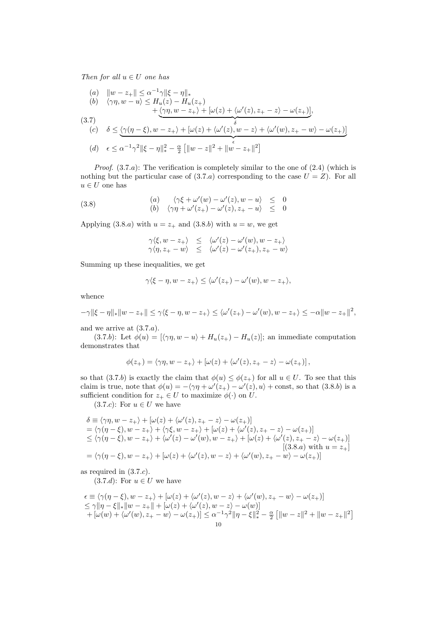Then for all  $u \in U$  one has

(a) 
$$
||w - z_+|| \le \alpha^{-1}\gamma ||\xi - \eta||_*
$$
  
\n(b)  $\langle \gamma\eta, w - u \rangle \le H_u(z) - H_u(z_+)$   
\n $+ \langle \gamma\eta, w - z_+ \rangle + [\omega(z) + \langle \omega'(z), z_+ - z \rangle - \omega(z_+)],$   
\n(3.7)  
\n(c)  $\delta \le \langle \gamma(\eta - \xi), w - z_+ \rangle + [\omega(z) + \langle \omega'(z), w - z \rangle + \langle \omega'(w), z_+ - w \rangle - \omega(z_+)]$   
\n(d)  $\epsilon \le \alpha^{-1}\gamma^2 ||\xi - \eta||_*^2 - \frac{\alpha}{2} [||w - z||^2 + ||w - z_+||^2]$ 

*Proof.*  $(3.7.a)$ : The verification is completely similar to the one of  $(2.4)$  (which is nothing but the particular case of  $(3.7.a)$  corresponding to the case  $U = Z$ ). For all  $u\in U$  one has

(3.8)   
\n(a) 
$$
\langle \gamma \xi + \omega'(w) - \omega'(z), w - u \rangle \leq 0
$$
  
\n(b)  $\langle \gamma \eta + \omega'(z_+) - \omega'(z), z_+ - u \rangle \leq 0$ 

Applying  $(3.8.a)$  with  $u = z_+$  and  $(3.8.b)$  with  $u = w$ , we get

$$
\begin{array}{lcl} \gamma \langle \xi, w-z_+ \rangle & \leq & \langle \omega ' (z) - \omega ' (w), w-z_+ \rangle \\ \gamma \langle \eta, z_+ - w \rangle & \leq & \langle \omega ' (z) - \omega ' (z_+), z_+ - w \rangle \end{array}
$$

Summing up these inequalities, we get

$$
\gamma \langle \xi - \eta, w - z_+ \rangle \le \langle \omega'(z_+) - \omega'(w), w - z_+ \rangle,
$$

whence

$$
-\gamma \|\xi - \eta\|_{*} \|w - z_{+}\| \leq \gamma \langle \xi - \eta, w - z_{+} \rangle \leq \langle \omega'(z_{+}) - \omega'(w), w - z_{+} \rangle \leq -\alpha \|w - z_{+}\|^{2},
$$

and we arrive at  $(3.7.a)$ .

(3.7.b): Let  $\phi(u) = [\langle \gamma \eta, w - u \rangle + H_u(z_+) - H_u(z)]$ ; an immediate computation demonstrates that

$$
\phi(z_+) = \langle \gamma \eta, w-z_+ \rangle + \left[ \omega(z) + \langle \omega'(z), z_+ - z \rangle - \omega(z_+) \right],
$$

so that (3.7.b) is exactly the claim that  $\phi(u) \leq \phi(z_+)$  for all  $u \in U$ . To see that this claim is true, note that  $\phi(u) = -\langle \gamma \eta + \omega'(z_+) - \omega'(z), u \rangle + \text{const},$  so that  $(3.8.b)$  is a sufficient condition for  $z_+ \in U$  to maximize  $\phi(\cdot)$  on U.

 $(3.7.c)$ : For  $u \in U$  we have

$$
\delta \equiv \langle \gamma \eta, w - z_+ \rangle + [\omega(z) + \langle \omega'(z), z_+ - z \rangle - \omega(z_+)]
$$
  
\n
$$
= \langle \gamma(\eta - \xi), w - z_+ \rangle + \langle \gamma \xi, w - z_+ \rangle + [\omega(z) + \langle \omega'(z), z_+ - z \rangle - \omega(z_+)]
$$
  
\n
$$
\leq \langle \gamma(\eta - \xi), w - z_+ \rangle + \langle \omega'(z) - \omega'(w), w - z_+ \rangle + [\omega(z) + \langle \omega'(z), z_+ - z \rangle - \omega(z_+)]
$$
  
\n
$$
= \langle \gamma(\eta - \xi), w - z_+ \rangle + [\omega(z) + \langle \omega'(z), w - z \rangle + \langle \omega'(w), z_+ - w \rangle - \omega(z_+)]
$$
  
\n
$$
= \langle \gamma(\eta - \xi), w - z_+ \rangle + [\omega(z) + \langle \omega'(z), w - z \rangle + \langle \omega'(w), z_+ - w \rangle - \omega(z_+)]
$$

as required in (3.7.c).

 $(3.7.d):$  For  $u \in U$  we have

$$
\begin{array}{l} \epsilon \equiv \langle \gamma(\eta - \xi), w - z_+ \rangle + [\omega(z) + \langle \omega'(z), w - z \rangle + \langle \omega'(w), z_+ - w \rangle - \omega(z_+)] \\ \leq \gamma \|\eta - \xi\|_* \|w - z_+\| + [\omega(z) + \langle \omega'(z), w - z \rangle - \omega(w)] \\ \quad + [\omega(w) + \langle \omega'(w), z_+ - w \rangle - \omega(z_+)] \leq \alpha^{-1} \gamma^2 \|\eta - \xi\|_*^2 - \frac{\alpha}{2} \left[ \|w - z\|^2 + \|w - z_+\|^2 \right] \\qquad \qquad 10 \end{array}
$$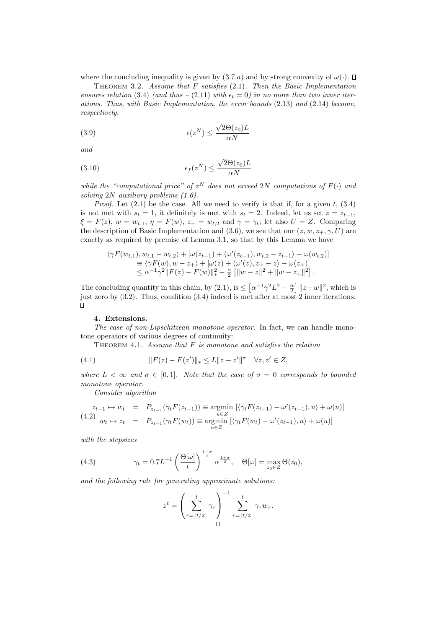where the concluding inequality is given by  $(3.7.a)$  and by strong convexity of  $\omega(.)$ .  $\Box$ 

THEOREM 3.2. Assume that  $F$  satisfies (2.1). Then the Basic Implementation ensures relation (3.4) (and thus – (2.11) with  $\epsilon_t = 0$ ) in no more than two inner iterations. Thus, with Basic Implementation, the error bounds (2.13) and (2.14) become, respectively,

(3.9) 
$$
\epsilon(z^N) \le \frac{\sqrt{2}\Theta(z_0)L}{\alpha N}
$$

and

(3.10) 
$$
\epsilon_f(z^N) \le \frac{\sqrt{2}\Theta(z_0)L}{\alpha N}
$$

while the "computational price" of  $z^N$  does not exceed 2N computations of  $F(\cdot)$  and solving 2N auxiliary problems  $(1.6)$ .

*Proof.* Let  $(2.1)$  be the case. All we need to verify is that if, for a given t,  $(3.4)$ is not met with  $s_t = 1$ , it definitely is met with  $s_t = 2$ . Indeed, let us set  $z = z_{t-1}$ ,  $\xi = F(z), w = w_{t,1}, \eta = F(w), z_+ = w_{t,2}$  and  $\gamma = \gamma_t$ ; let also  $U = Z$ . Comparing the description of Basic Implementation and (3.6), we see that our  $(z, w, z_+, \gamma, U)$  are exactly as required by premise of Lemma 3.1, so that by this Lemma we have

$$
\langle \gamma F(w_{t,1}), w_{t,1} - w_{t,2} \rangle + [\omega(z_{t-1}) + \langle \omega'(z_{t-1}), w_{t,2} - z_{t-1} \rangle - \omega(w_{t,2})] \n\equiv \langle \gamma F(w), w - z_+ \rangle + [\omega(z) + \langle \omega'(z), z_+ - z \rangle - \omega(z_+)] \n\le \alpha^{-1} \gamma^2 \|F(z) - F(w)\|_{*}^2 - \frac{\alpha}{2} [\|w - z\|^2 + \|w - z_+\|^2].
$$

£ l<br>E  $\alpha^{-1}\gamma^2L^2-\frac{\alpha}{2}$  $||z-w||^2$ , which is The concluding quantity in this chain, by  $(2.1)$ , is  $\leq$ just zero by (3.2). Thus, condition (3.4) indeed is met after at most 2 inner iterations.  $\Box$ 

## 4. Extensions.

The case of non-Lipschitzean monotone operator. In fact, we can handle monotone operators of various degrees of continuity:

THEOREM 4.1. Assume that  $F$  is monotone and satisfies the relation

(4.1) 
$$
||F(z) - F(z')||_* \le L||z - z'||^{\sigma} \quad \forall z, z' \in Z,
$$

where  $L < \infty$  and  $\sigma \in [0,1]$ . Note that the case of  $\sigma = 0$  corresponds to bounded monotone operator.

Consider algorithm

$$
\begin{array}{rcl}\nz_{t-1} \mapsto w_t & = & P_{z_{t-1}}(\gamma_t F(z_{t-1})) \equiv \operatorname*{argmin}_{u \in Z} \left[ \langle \gamma_t F(z_{t-1}) - \omega'(z_{t-1}), u \rangle + \omega(u) \right] \\
(4.2) \quad w_t \mapsto z_t & = & P_{z_{t-1}}(\gamma_t F(w_t)) \equiv \operatorname*{argmin}_{u \in Z} \left[ \langle \gamma_t F(w_t) - \omega'(z_{t-1}), u \rangle + \omega(u) \right]\n\end{array}
$$

with the stepsizes

(4.3) 
$$
\gamma_t = 0.7L^{-1} \left( \frac{\Theta[\omega]}{t} \right)^{\frac{1-\sigma}{2}} \alpha^{\frac{1+\sigma}{2}}, \quad \Theta[\omega] = \max_{z_0 \in Z} \Theta(z_0),
$$

and the following rule for generating approximate solutions:

$$
z^{t} = \left(\sum_{\tau=\lfloor t/2 \rfloor}^{t} \gamma_{\tau}\right)^{-1} \sum_{\tau=\lfloor t/2 \rfloor}^{t} \gamma_{\tau} w_{\tau}.
$$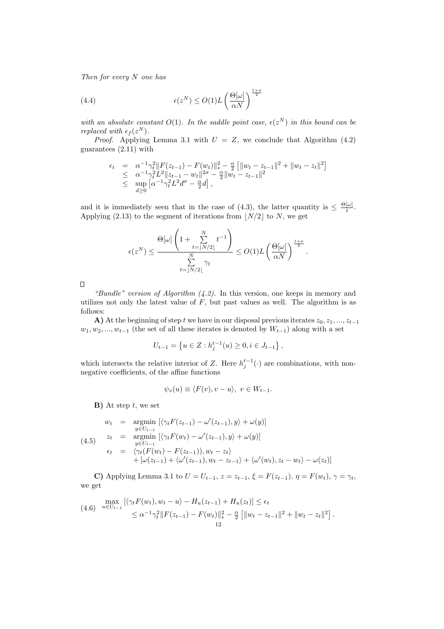Then for every N one has

(4.4) 
$$
\epsilon(z^N) \le O(1)L\left(\frac{\Theta[\omega]}{\alpha N}\right)^{\frac{1+\sigma}{2}}
$$

with an absolute constant  $O(1)$ . In the saddle point case,  $\epsilon(z^N)$  in this bound can be replaced with  $\epsilon_f(z^N)$ .

*Proof.* Applying Lemma 3.1 with  $U = Z$ , we conclude that Algorithm (4.2) guarantees (2.11) with

$$
\epsilon_t = \alpha^{-1} \gamma_t^2 \|F(z_{t-1}) - F(w_t)\|_*^2 - \frac{\alpha}{2} \left[ \|w_t - z_{t-1}\|^2 + \|w_t - z_t\|^2 \right] \n\leq \alpha^{-1} \gamma_t^2 L^2 \|z_{t-1} - w_t\|^{2\sigma} - \frac{\alpha}{2} \|w_t - z_{t-1}\|^2 \n\leq \sup_{d \geq 0} \left[ \alpha^{-1} \gamma_t^2 L^2 d^{\sigma} - \frac{\alpha}{2} d \right],
$$

and it is immediately seen that in the case of (4.3), the latter quantity is  $\leq \frac{\Theta[\omega]}{t}$  $\frac{[\omega]}{t}$ . Applying (2.13) to the segment of iterations from  $|N/2|$  to N, we get

$$
\epsilon(z^N) \le \frac{\Theta[\omega] \left(1 + \sum_{t=|N/2|}^N t^{-1}\right)}{\sum_{t=|N/2|}^N \gamma_t} \le O(1) L \left(\frac{\Theta[\omega]}{\alpha N}\right)^{\frac{1+\sigma}{2}}.
$$

 $\Box$ 

"Bundle" version of Algorithm  $(4.2)$ . In this version, one keeps in memory and utilizes not only the latest value of  $F$ , but past values as well. The algorithm is as follows:

A) At the beginning of step t we have in our disposal previous iterates  $z_0, z_1, ..., z_{t-1}$  $w_1, w_2, ..., w_{t-1}$  (the set of all these iterates is denoted by  $W_{t-1}$ ) along with a set

$$
U_{t-1} = \left\{ u \in Z : h_j^{t-1}(u) \ge 0, i \in J_{t-1} \right\},\
$$

which intersects the relative interior of Z. Here  $h_j^{t-1}(\cdot)$  are combinations, with nonnegative coefficients, of the affine functions

$$
\psi_v(u) \equiv \langle F(v), v - u \rangle, \ v \in W_{t-1}.
$$

 $\mathbf{B}$ ) At step t, we set

$$
w_t = \underset{y \in U_{t-1}}{\operatorname{argmin}} \left[ \langle \gamma_t F(z_{t-1}) - \omega'(z_{t-1}), y \rangle + \omega(y) \right]
$$
  
\n
$$
z_t = \underset{y \in U_{t-1}}{\operatorname{argmin}} \left[ \langle \gamma_t F(w_t) - \omega'(z_{t-1}), y \rangle + \omega(y) \right]
$$
  
\n
$$
\epsilon_t = \langle \gamma_t (F(w_t) - F(z_{t-1})), w_t - z_t \rangle + \left[ \omega(z_{t-1}) + \langle \omega'(z_{t-1}), w_t - z_{t-1} \rangle + \langle \omega'(w_t), z_t - w_t \rangle - \omega(z_t) \right]
$$

C) Applying Lemma 3.1 to  $U = U_{t-1}$ ,  $z = z_{t-1}$ ,  $\xi = F(z_{t-1})$ ,  $\eta = F(w_t)$ ,  $\gamma = \gamma_t$ , we get

$$
\max_{u \in U_{t-1}} \left[ \langle \gamma_t F(w_t), w_t - u \rangle - H_u(z_{t-1}) + H_u(z_t) \right] \le \epsilon_t
$$
\n
$$
\le \alpha^{-1} \gamma_t^2 \| F(z_{t-1}) - F(w_t) \|_*^2 - \frac{\alpha}{2} \left[ \| w_t - z_{t-1} \|^2 + \| w_t - z_t \|^2 \right].
$$
\n
$$
\le \alpha^{-1} \gamma_t^2 \| F(z_{t-1}) - F(w_t) \|_*^2 - \frac{\alpha}{2} \left[ \| w_t - z_{t-1} \|^2 + \| w_t - z_t \|^2 \right].
$$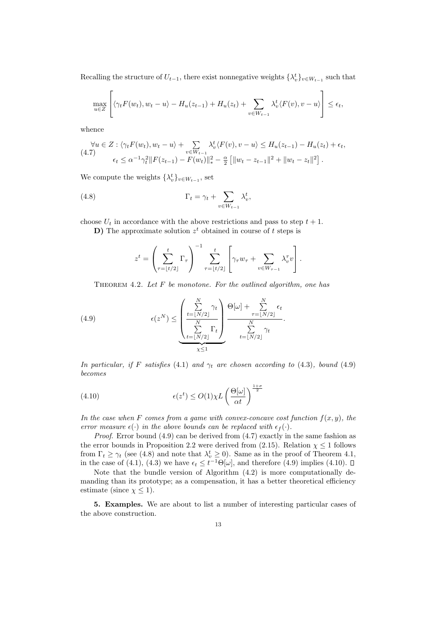Recalling the structure of  $U_{t-1}$ , there exist nonnegative weights  $\{\lambda_v^t\}_{v \in W_{t-1}}$  such that

$$
\max_{u \in Z} \left[ \langle \gamma_t F(w_t), w_t - u \rangle - H_u(z_{t-1}) + H_u(z_t) + \sum_{v \in W_{t-1}} \lambda_v^t \langle F(v), v - u \rangle \right] \le \epsilon_t,
$$

whence

$$
\forall u \in Z : \langle \gamma_t F(w_t), w_t - u \rangle + \sum_{v \in W_{t-1}} \lambda_v^t \langle F(v), v - u \rangle \le H_u(z_{t-1}) - H_u(z_t) + \epsilon_t,
$$
  
(4.7) 
$$
\epsilon_t \le \alpha^{-1} \gamma_t^2 \|F(z_{t-1}) - F(w_t)\|_*^2 - \frac{\alpha}{2} \left[ \|w_t - z_{t-1}\|^2 + \|w_t - z_t\|^2 \right].
$$

We compute the weights  $\{\lambda_v^t\}_{v \in W_{t-1}}$ , set

(4.8) 
$$
\Gamma_t = \gamma_t + \sum_{v \in W_{t-1}} \lambda_v^t,
$$

choose  $U_t$  in accordance with the above restrictions and pass to step  $t + 1$ .

**D**) The approximate solution  $z<sup>t</sup>$  obtained in course of t steps is

$$
z^{t} = \left(\sum_{\tau=\lfloor t/2 \rfloor}^{t} \Gamma_{\tau}\right)^{-1} \sum_{\tau=\lfloor t/2 \rfloor}^{t} \left[\gamma_{\tau} w_{\tau} + \sum_{v \in W_{\tau-1}} \lambda_{v}^{\tau} v\right].
$$

THEOREM 4.2. Let  $F$  be monotone. For the outlined algorithm, one has

(4.9) 
$$
\epsilon(z^N) \leq \underbrace{\left(\frac{\sum\limits_{t=\lfloor N/2\rfloor}^N \gamma_t}{\sum\limits_{t=\lfloor N/2\rfloor}^N \Gamma_t}\right)}_{\chi \leq 1} \underbrace{\Theta[\omega] + \sum\limits_{\tau=\lfloor N/2\rfloor}^N \epsilon_t}_{\xi=\lfloor N/2\rfloor}.
$$

In particular, if F satisfies (4.1) and  $\gamma_t$  are chosen according to (4.3), bound (4.9) becomes

(4.10) 
$$
\epsilon(z^t) \le O(1)\chi L\left(\frac{\Theta[\omega]}{\alpha t}\right)^{\frac{1+\sigma}{2}}
$$

In the case when F comes from a game with convex-concave cost function  $f(x, y)$ , the error measure  $\epsilon(\cdot)$  in the above bounds can be replaced with  $\epsilon_f(\cdot)$ .

*Proof.* Error bound  $(4.9)$  can be derived from  $(4.7)$  exactly in the same fashion as the error bounds in Proposition 2.2 were derived from (2.15). Relation  $\chi \leq 1$  follows from  $\Gamma_t \geq \gamma_t$  (see (4.8) and note that  $\lambda_v^t \geq 0$ ). Same as in the proof of Theorem 4.1, in the case of (4.1), (4.3) we have  $\epsilon_t \leq t^{-1} \Theta[\omega]$ , and therefore (4.9) implies (4.10).

Note that the bundle version of Algorithm (4.2) is more computationally demanding than its prototype; as a compensation, it has a better theoretical efficiency estimate (since  $\chi \leq 1$ ).

5. Examples. We are about to list a number of interesting particular cases of the above construction.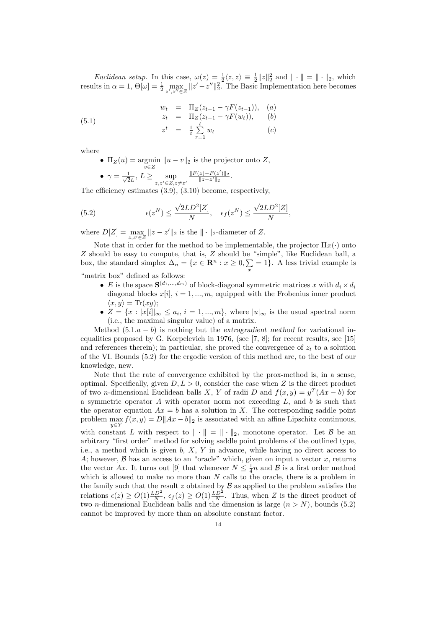*Euclidean setup.* In this case,  $\omega(z) = \frac{1}{2} \langle z, z \rangle \equiv \frac{1}{2} ||z||_2^2$  and  $|| \cdot || = || \cdot ||_2$ , which results in  $\alpha = 1$ ,  $\Theta[\omega] = \frac{1}{2} \max_{z',z'' \in Z} ||z' - z''||_2^2$ . The Basic Implementation here becomes

(5.1) 
$$
\begin{array}{rcl}\nw_t & = & \Pi_Z(z_{t-1} - \gamma F(z_{t-1})), & (a) \\
z_t & = & \Pi_Z(z_{t-1} - \gamma F(w_t)), & (b) \\
z^t & = & \frac{1}{t} \sum_{\tau=1}^t w_t & (c)\n\end{array}
$$

where

- $\Pi_Z(u) = \underset{v \in Z}{\text{argmin}} ||u v||_2$  is the projector onto Z,
- $\gamma = \frac{1}{\sqrt{2}}$  $\frac{1}{2L}, L \geq \sup_{z,z' \in Z, z \neq z'}$  $\frac{\|F(z)-F(z')\|_2}{\|z-z'\|_2}.$

The efficiency estimates (3.9), (3.10) become, respectively,

(5.2) 
$$
\epsilon(z^N) \le \frac{\sqrt{2}LD^2[Z]}{N}, \quad \epsilon_f(z^N) \le \frac{\sqrt{2}LD^2[Z]}{N},
$$

where  $D[Z] = \max_{z,z' \in Z} ||z - z'||_2$  is the  $|| \cdot ||_2$ -diameter of Z.

Note that in order for the method to be implementable, the projector  $\Pi_Z(\cdot)$  onto Z should be easy to compute, that is, Z should be "simple", like Euclidean ball, a box, the standard simplex  $\Delta_n = \{x \in \mathbb{R}^n : x \ge 0, \sum_x = 1\}$ . A less trivial example is "matrix box" defined as follows:

- E is the space  $\mathbf{S}^{(d_1,\ldots,d_m)}$  of block-diagonal symmetric matrices x with  $d_i \times d_i$ diagonal blocks  $x[i], i = 1, ..., m$ , equipped with the Frobenius inner product  $\langle x, y \rangle = \text{Tr}(xy);$
- $Z = \{x : |x[i]|_{\infty} \leq a_i, i = 1, ..., m\}$ , where  $|u|_{\infty}$  is the usual spectral norm (i.e., the maximal singular value) of a matrix.

Method  $(5.1.a - b)$  is nothing but the extragradient method for variational inequalities proposed by G. Korpelevich in 1976, (see [7, 8]; for recent results, see [15] and references therein); in particular, she proved the convergence of  $z_t$  to a solution of the VI. Bounds (5.2) for the ergodic version of this method are, to the best of our knowledge, new.

Note that the rate of convergence exhibited by the prox-method is, in a sense, optimal. Specifically, given  $D, L > 0$ , consider the case when Z is the direct product of two *n*-dimensional Euclidean balls X, Y of radii D and  $f(x,y) = y^T(Ax - b)$  for a symmetric operator  $A$  with operator norm not exceeding  $L$ , and  $b$  is such that the operator equation  $Ax = b$  has a solution in X. The corresponding saddle point problem  $\max_{y \in Y} f(x, y) = D||Ax - b||_2$  is associated with an affine Lipschitz continuous, with constant L with respect to  $\|\cdot\| = \|\cdot\|_2$ , monotone operator. Let B be an arbitrary "first order" method for solving saddle point problems of the outlined type, i.e., a method which is given  $b, X, Y$  in advance, while having no direct access to A; however,  $\beta$  has an access to an "oracle" which, given on input a vector x, returns the vector Ax. It turns out [9] that whenever  $N \leq \frac{1}{4}n$  and  $\mathcal{B}$  is a first order method which is allowed to make no more than  $N$  calls to the oracle, there is a problem in the family such that the result z obtained by  $\mathcal B$  as applied to the problem satisfies the relations  $\epsilon(z) \ge O(1) \frac{LD^2}{N}$ ,  $\epsilon_f(z) \ge O(1) \frac{LD^2}{N}$ . Thus, when Z is the direct product of two *n*-dimensional Euclidean balls and the dimension is large  $(n > N)$ , bounds (5.2) cannot be improved by more than an absolute constant factor.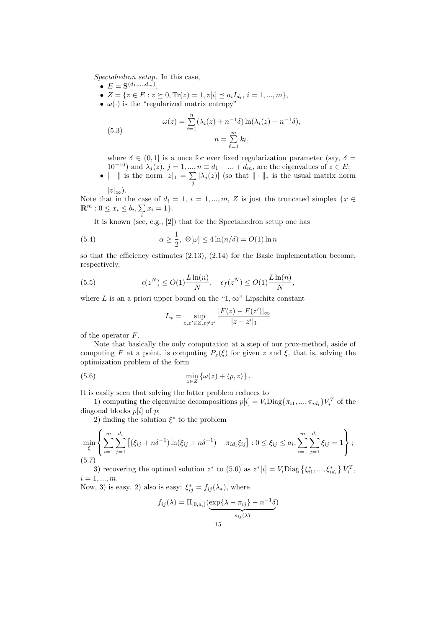Spectahedron setup. In this case,

- $\bullet\ \ E=\mathbf{S}^{(d_1,...,d_m)},$
- $Z = \{z \in E : z \succeq 0, \text{Tr}(z) = 1, z[i] \le a_i I_{d_i}, i = 1, ..., m\},\$
- $\omega(\cdot)$  is the "regularized matrix entropy"

(5.3) 
$$
\omega(z) = \sum_{i=1}^{n} (\lambda_i(z) + n^{-1}\delta) \ln(\lambda_i(z) + n^{-1}\delta),
$$

$$
n = \sum_{\ell=1}^{m} k_{\ell},
$$

where  $\delta \in (0,1]$  is a once for ever fixed regularization parameter (say,  $\delta =$  $10^{-16}$ ) and  $\lambda_j(z)$ ,  $j = 1, ..., n \equiv d_1 + ... + d_m$ , are the eigenvalues of  $z \in E$ ;

•  $\|\cdot\|$  is the norm  $|z|_1 = \sum_{j} |\lambda_j(z)|$  (so that  $\|\cdot\|_*$  is the usual matrix norm  $|z|_{\infty}$ ).

Note that in the case of  $d_i = 1, i = 1, ..., m, Z$  is just the truncated simplex  $\{x \in \mathbb{R}^m : |x| \leq x\}$  $\mathbf{R}^m : 0 \le x_i \le b_i, \sum x_i = 1 \}.$ 

It is known (see, e.g., [2]) that for the Spectahedron setup one has

(5.4) 
$$
\alpha \ge \frac{1}{2}, \ \Theta[\omega] \le 4\ln(n/\delta) = O(1)\ln n
$$

so that the efficiency estimates  $(2.13)$ ,  $(2.14)$  for the Basic implementation become, respectively,

(5.5) 
$$
\epsilon(z^N) \le O(1) \frac{L \ln(n)}{N}, \quad \epsilon_f(z^N) \le O(1) \frac{L \ln(n)}{N},
$$

where L is an a priori upper bound on the "1, $\infty$ " Lipschitz constant

$$
L_* = \sup_{z,z' \in Z, z \neq z'} \frac{|F(z) - F(z')|_{\infty}}{|z - z'|_1}
$$

of the operator F.

Note that basically the only computation at a step of our prox-method, aside of computing F at a point, is computing  $P_z(\xi)$  for given z and  $\xi$ , that is, solving the optimization problem of the form

(5.6) 
$$
\min_{z \in Z} \{ \omega(z) + \langle p, z \rangle \}.
$$

It is easily seen that solving the latter problem reduces to

1) computing the eigenvalue decompositions  $p[i] = V_i \text{Diag}\{\pi_{i1}, ..., \pi_{id_i}\} V_i^T$  of the diagonal blocks  $p[i]$  of  $p$ ;

2) finding the solution  $\xi^*$  to the problem

$$
\min_{\xi} \left\{ \sum_{i=1}^{m} \sum_{j=1}^{d_i} \left[ (\xi_{ij} + n\delta^{-1}) \ln(\xi_{ij} + n\delta^{-1}) + \pi_{id_i} \xi_{ij} \right] : 0 \le \xi_{ij} \le a_i, \sum_{i=1}^{m} \sum_{j=1}^{d_i} \xi_{ij} = 1 \right\};
$$
\n(5.7)

3) recovering the optimal solution  $z^*$  to (5.6) as  $z^*[i] = V_i \text{Diag} \left\{ \xi_{i1}^*, ..., \xi_{id_i}^* \right\}$  $V_i^T,$  $i = 1, ..., m$ .

Now, 3) is easy. 2) also is easy:  $\xi_{ij}^* = f_{ij}(\lambda_*)$ , where

$$
f_{ij}(\lambda) = \Pi_{[0,a_i]}(\underbrace{\exp\{\lambda - \pi_{ij}\} - n^{-1}\delta}_{s_{ij}(\lambda)})
$$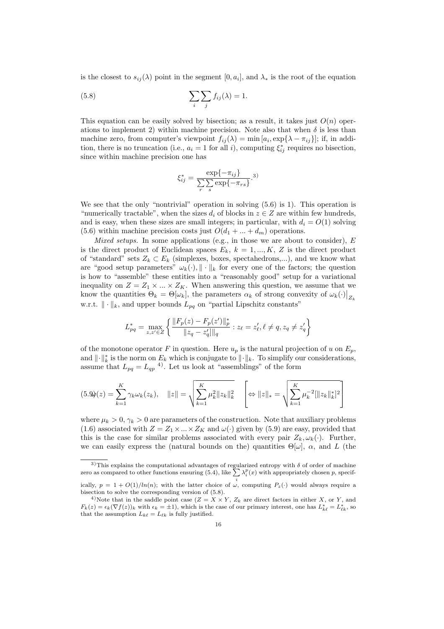is the closest to  $s_{ij}(\lambda)$  point in the segment  $[0, a_i]$ , and  $\lambda_*$  is the root of the equation

(5.8) 
$$
\sum_{i} \sum_{j} f_{ij}(\lambda) = 1.
$$

This equation can be easily solved by bisection; as a result, it takes just  $O(n)$  operations to implement 2) within machine precision. Note also that when  $\delta$  is less than machine zero, from computer's viewpoint  $f_{ij}(\lambda) = \min [a_i, \exp{\lambda - \pi_{ij}}]$ ; if, in addition, there is no truncation (i.e.,  $a_i = 1$  for all i), computing  $\xi_{ij}^*$  requires no bisection, since within machine precision one has

$$
\xi_{ij}^* = \frac{\exp\{-\pi_{ij}\}}{\sum_{r} \sum_{s} \exp\{-\pi_{rs}\}}.
$$
3)

We see that the only "nontrivial" operation in solving  $(5.6)$  is 1). This operation is "numerically tractable", when the sizes  $d_i$  of blocks in  $z \in Z$  are within few hundreds, and is easy, when these sizes are small integers; in particular, with  $d_i = O(1)$  solving (5.6) within machine precision costs just  $O(d_1 + ... + d_m)$  operations.

Mixed setups. In some applications (e.g., in those we are about to consider),  $E$ is the direct product of Euclidean spaces  $E_k$ ,  $k = 1, ..., K$ , Z is the direct product of "standard" sets  $Z_k \subset E_k$  (simplexes, boxes, spectahedrons,...), and we know what are "good setup parameters"  $\omega_k(\cdot), \| \cdot \|_k$  for every one of the factors; the question is how to "assemble" these entities into a "reasonably good" setup for a variational inequality on  $Z = Z_1 \times ... \times Z_K$ . When answering this question, we assume that we know the quantities  $\Theta_k = \Theta[\omega_k]$ , the parameters  $\alpha_k$  of strong convexity of  $\omega_k(\cdot)|_{Z_k}$ w.r.t.  $\|\cdot\|_k$ , and upper bounds  $L_{pq}$  on "partial Lipschitz constants"

$$
L_{pq}^{*} = \max_{z,z' \in Z} \left\{ \frac{\|F_p(z) - F_p(z')\|_p^*}{\|z_q - z'_q\|_q} : z_\ell = z'_\ell, \ell \neq q, z_q \neq z'_q \right\}
$$

of the monotone operator F in question. Here  $u_p$  is the natural projection of u on  $E_p$ , and  $\|\cdot\|_k^*$  is the norm on  $E_k$  which is conjugate to  $\|\cdot\|_k$ . To simplify our considerations, assume that  $L_{pq} = L_{qp}^{4}$ . Let us look at "assemblings" of the form

$$
(5.9)(z) = \sum_{k=1}^{K} \gamma_k \omega_k(z_k), \quad ||z|| = \sqrt{\sum_{k=1}^{K} \mu_k^2 ||z_k||_k^2} \quad \left[\Leftrightarrow ||z||_* = \sqrt{\sum_{k=1}^{K} \mu_k^{-2} [||z_k||_k^*]^2} \right]
$$

where  $\mu_k > 0$ ,  $\gamma_k > 0$  are parameters of the construction. Note that auxiliary problems (1.6) associated with  $Z = Z_1 \times ... \times Z_K$  and  $\omega(\cdot)$  given by (5.9) are easy, provided that this is the case for similar problems associated with every pair  $Z_k, \omega_k(\cdot)$ . Further, we can easily express the (natural bounds on the) quantities  $\Theta[\omega]$ ,  $\alpha$ , and L (the

<sup>&</sup>lt;sup>3)</sup>This explains the computational advantages of regularized entropy with  $\delta$  of order of machine <sup>3)</sup>This explains the computational advantages of regularized entropy with  $\delta$  of order of machine zero as compared to other functions ensuring (5.4), like  $\sum_{i} \lambda_i^p(x)$  with appropriately chosen p, specif-

ically,  $p = 1 + O(1)/\ln(n)$ ; with the latter choice of  $\omega$ , computing  $P_z(\cdot)$  would always require a bisection to solve the corresponding version of (5.8).

<sup>&</sup>lt;sup>4)</sup>Note that in the saddle point case  $(Z = X \times Y, Z_k)$  are direct factors in either X, or Y, and  $F_k(z) = \epsilon_k(\nabla f(z))_k$  with  $\epsilon_k = \pm 1$ , which is the case of our primary interest, one has  $L_{k\ell}^* = L_{\ell k}^*$ , so that the assumption  $L_{k\ell} = L_{\ell k}$  is fully justified.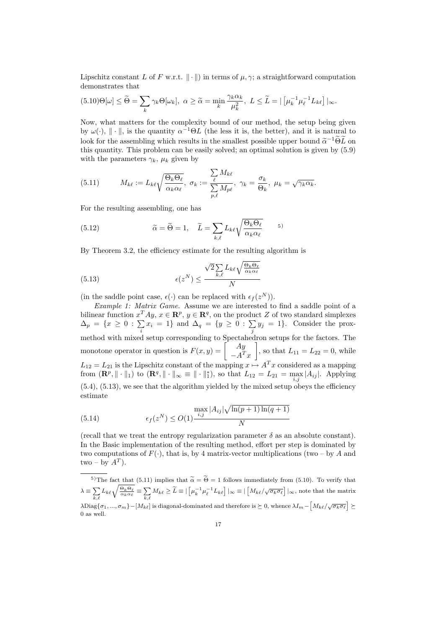Lipschitz constant L of F w.r.t.  $\|\cdot\|$  in terms of  $\mu, \gamma$ ; a straightforward computation demonstrates that

$$
(5.10)\Theta[\omega] \leq \widetilde{\Theta} = \sum_{k} \gamma_k \Theta[\omega_k], \ \alpha \geq \widetilde{\alpha} = \min_{k} \frac{\gamma_k \alpha_k}{\mu_k^2}, \ L \leq \widetilde{L} = | \left[ \mu_k^{-1} \mu_\ell^{-1} L_{k\ell} \right] |_{\infty}.
$$

Now, what matters for the complexity bound of our method, the setup being given by  $\omega(\cdot)$ ,  $\|\cdot\|$ , is the quantity  $\alpha^{-1}\Theta L$  (the less it is, the better), and it is natural to look for the assembling which results in the smallest possible upper bound  $\tilde{\alpha}^{-1} \tilde{\Theta} \tilde{L}$  on this quantity. This problem can be easily solved; an optimal solution is given by (5.9) with the parameters  $\gamma_k$ ,  $\mu_k$  given by

(5.11) 
$$
M_{k\ell} := L_{k\ell} \sqrt{\frac{\Theta_k \Theta_\ell}{\alpha_k \alpha_\ell}}, \ \sigma_k := \frac{\sum_{\ell} M_{k\ell}}{\sum_{p,\ell} M_{p\ell}}, \ \gamma_k = \frac{\sigma_k}{\Theta_k}, \ \mu_k = \sqrt{\gamma_k \alpha_k}.
$$

For the resulting assembling, one has

(5.12) 
$$
\widetilde{\alpha} = \widetilde{\Theta} = 1, \quad \widetilde{L} = \sum_{k,\ell} L_{k\ell} \sqrt{\frac{\Theta_k \Theta_\ell}{\alpha_k \alpha_\ell}} \quad \text{5}
$$

By Theorem 3.2, the efficiency estimate for the resulting algorithm is

(5.13) 
$$
\epsilon(z^N) \leq \frac{\sqrt{2} \sum_{k,\ell} L_{k\ell} \sqrt{\frac{\Theta_k \Theta_\ell}{\alpha_k \alpha_\ell}}}{N}
$$

(in the saddle point case,  $\epsilon(\cdot)$  can be replaced with  $\epsilon_f(z^N)$ ).

Example 1: Matrix Game. Assume we are interested to find a saddle point of a bilinear function  $x^T Ay$ ,  $x \in \mathbb{R}^p$ ,  $y \in \mathbb{R}^q$ , on the product Z of two standard simplexes  $\Delta_p = \{x \geq 0 : \sum x_i = 1\}$  and  $\Delta_q = \{y \geq 0 : \sum y_j = 1\}$ . Consider the proxmethod with mixed setup corresponding to Spectahedron setups for the factors. The<br>monotone operator in question is  $F(x, y) = \begin{bmatrix} Ay \\ AT_w \end{bmatrix}$ , so that  $L_{11} = L_{22} = 0$ , while  $-A^T x$ լr<br>-, so that  $L_{11} = L_{22} = 0$ , while  $L_{12} = L_{21}$  is the Lipschitz constant of the mapping  $x \mapsto A^T x$  considered as a mapping from  $(\mathbf{R}^p, \|\cdot\|_1)$  to  $(\mathbf{R}^q, \|\cdot\|_{\infty} \equiv \|\cdot\|_1^*),$  so that  $L_{12} = L_{21} = \max_{i,j} |A_{ij}|.$  Applying  $(5.4)$ ,  $(5.13)$ , we see that the algorithm yielded by the mixed setup obeys the efficiency estimate p

(5.14) 
$$
\max_{\epsilon_f(z^N)} \leq O(1) \frac{\max_{i,j} |A_{ij}| \sqrt{\ln(p+1) \ln(q+1)}}{N}
$$

(recall that we treat the entropy regularization parameter  $\delta$  as an absolute constant). In the Basic implementation of the resulting method, effort per step is dominated by two computations of  $F(\cdot)$ , that is, by 4 matrix-vector multiplications (two – by A and  $two - by A<sup>T</sup>$ ).

<sup>&</sup>lt;sup>5)</sup>The fact that (5.11) implies that  $\widetilde{\alpha} = \widetilde{\Theta} = 1$  follows immediately from (5.10). To verify that  $\lambda \equiv \sum$ The fact that  $(5.11)$ <br> $\sum_{k,\ell} L_{k\ell} \sqrt{\frac{\Theta_k \Theta_\ell}{\alpha_k \alpha_\ell}} \equiv \sum_{k,\ell}$  $\sum_{k,\ell} M_{k\ell} \ge \widetilde{L} \equiv \left[ \left[ \mu_k^{-1} \mu_\ell^{-1} L_{k\ell} \right] \right] \sim \equiv \left[ \left[ M_{k\ell} / \sqrt{\sigma_k \sigma_\ell} \right] \right] \sim$ , note that the matrix  $\lambda$ Diag $\{\sigma_1, ..., \sigma_m\} - [M_{k\ell}]$  is diagonal-dominated and therefore is  $\succeq 0$ , whence  $\lambda I_m - [M_{k\ell}/\sqrt{\sigma_k \sigma_\ell}] \succeq$ £ ¤ 0 as well.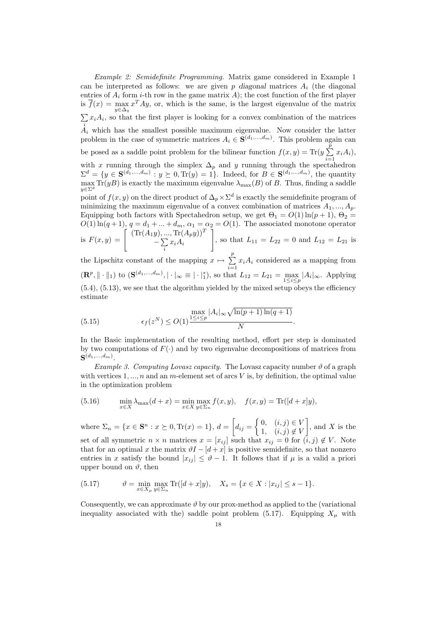Example 2: Semidefinite Programming. Matrix game considered in Example 1 can be interpreted as follows: we are given p diagonal matrices  $A_i$  (the diagonal entries of  $A_i$  form *i*-th row in the game matrix  $A$ ); the cost function of the first player is  $\overline{f}(x) = \max_{y \in \Delta_q} x^T A y$ , or, which is the same, is the largest eigenvalue of the matrix  $\overline{ }$  $A_i$  which has the smallest possible maximum eigenvalue. Now consider the latter  $x_iA_i$ , so that the first player is looking for a convex combination of the matrices problem in the case of symmetric matrices  $A_i \in \mathbf{S}^{(d_1,\ldots,d_m)}$ . This problem again can be posed as a saddle point problem for the bilinear function  $f(x, y) = \text{Tr}(y \sum_{i=1}^{p} x_i A_i)$ , with x running through the simplex  $\Delta_p$  and y running through the spectahedron  $\Sigma^d = \{y \in \mathbf{S}^{(d_1,\ldots,d_m)} : y \succeq 0, \text{Tr}(y) = 1\}.$  Indeed, for  $B \in \mathbf{S}^{(d_1,\ldots,d_m)}$ , the quantity  $\max_{y \in \Sigma^d} \text{Tr}(yB)$  is exactly the maximum eigenvalue  $\lambda_{\max}(B)$  of B. Thus, finding a saddle point of  $f(x, y)$  on the direct product of  $\Delta_p \times \Sigma^d$  is exactly the semidefinite program of minimizing the maximum eigenvalue of a convex combination of matrices  $A_1, ..., A_p$ . Equipping both factors with Spectahedron setup, we get  $\Theta_1 = O(1) \ln(p+1)$ ,  $\Theta_2 =$  $O(1) \ln(q+1), q = d_1 + ... + d_m, \alpha_1 = \alpha_2 = O(1).$  The associated monotone operator<br>is  $F(x, y) = \begin{bmatrix} (\text{Tr}(A_1y), ..., \text{Tr}(A_py))^T \\ -\sum_{x_i} A_i \end{bmatrix}$ , so that  $L_{11} = L_{22} = 0$  and  $L_{12} = L_{21}$  is  $\frac{y}{-\sum}$  $\sum_i x_i A_i$  $\frac{2}{7}$ , so that  $L_{11} = L_{22} = 0$  and  $L_{12} = L_{21}$  is the Lipschitz constant of the mapping  $x \mapsto \sum_{r=1}^{p}$ 

 $\sum_{i=1} x_i A_i$  considered as a mapping from  $(\mathbf{R}^p, \|\cdot\|_1)$  to  $(\mathbf{S}^{(d_1,...,d_m)}, |\cdot|_{\infty} \equiv |\cdot|_1^*)$ , so that  $L_{12} = L_{21} = \max_{1 \leq i \leq p} |A_i|_{\infty}$ . Applying  $(5.4)$ ,  $(5.13)$ , we see that the algorithm yielded by the mixed setup obeys the efficiency estimate

(5.15) 
$$
\epsilon_f(z^N) \leq O(1) \frac{\max_{1 \leq i \leq p} |A_i|_{\infty} \sqrt{\ln(p+1)\ln(q+1)}}{N}.
$$

In the Basic implementation of the resulting method, effort per step is dominated by two computations of  $F(\cdot)$  and by two eigenvalue decompositions of matrices from  $\mathbf{S}^{(d_1, ..., d_m)}$ .

Example 3. Computing Lovasz capacity. The Lovasz capacity number  $\vartheta$  of a graph with vertices  $1, ..., n$  and an m-element set of arcs V is, by definition, the optimal value in the optimization problem

(5.16) 
$$
\min_{x \in X} \lambda_{\max}(d+x) = \min_{x \in X} \max_{y \in \Sigma_n} f(x, y), \quad f(x, y) = \text{Tr}([d+x]y),
$$

where  $\Sigma_n = \{x \in \mathbf{S}^n : x \succeq 0, \text{Tr}(x) = 1\}, d =$ ·  $d_{ij} =$ ½ 0,  $(i, j) \in V$ 1,  $(i, j) \notin V$  $\overline{a}$ , and  $X$  is the set of all symmetric  $n \times n$  matrices  $x = [x_{ij}]$  such that  $x_{ij} = 0$  for  $(i, j) \notin V$ . Note that for an optimal x the matrix  $\vartheta I - [d + x]$  is positive semidefinite, so that nonzero entries in x satisfy the bound  $|x_{ij}| \leq \vartheta - 1$ . It follows that if  $\mu$  is a valid a priori upper bound on  $\vartheta$ , then

(5.17) 
$$
\vartheta = \min_{x \in X_{\mu}} \max_{y \in \Sigma_n} \text{Tr}([d+x]y), \quad X_s = \{x \in X : |x_{ij}| \le s - 1\}.
$$

Consequently, we can approximate  $\vartheta$  by our prox-method as applied to the (variational inequality associated with the) saddle point problem (5.17). Equipping  $X_\mu$  with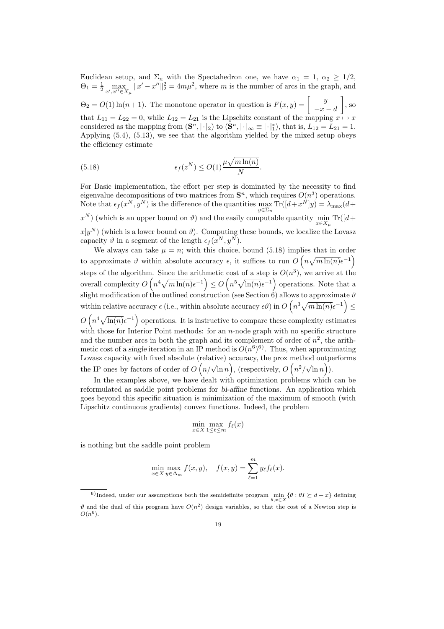Euclidean setup, and  $\Sigma_n$  with the Spectahedron one, we have  $\alpha_1 = 1, \alpha_2 \geq 1/2$ ,  $\Theta_1 = \frac{1}{2} \max_{x',x'' \in X_\mu} ||x' - x''||_2^2 = 4m\mu^2$ , where m is the number of arcs in the graph, and  $\Theta_2 = O(1) \ln(n+1)$ . The monotone operator in question is  $F(x, y) = \begin{bmatrix} y \\ y \end{bmatrix}$  $\overline{a}$ 

 $\begin{bmatrix} 9 \\ -x - d \end{bmatrix}$ , so that  $L_{11} = L_{22} = 0$ , while  $L_{12} = L_{21}$  is the Lipschitz constant of the mapping  $x \mapsto x$ considered as the mapping from  $(\mathbf{S}^n, |\cdot|_2)$  to  $(\mathbf{S}^n, |\cdot|_\infty \equiv |\cdot|^*_1)$ , that is,  $L_{12} = L_{21} = 1$ . Applying (5.4), (5.13), we see that the algorithm yielded by the mixed setup obeys the efficiency estimate

(5.18) 
$$
\epsilon_f(z^N) \le O(1) \frac{\mu \sqrt{m \ln(n)}}{N}.
$$

For Basic implementation, the effort per step is dominated by the necessity to find eigenvalue decompositions of two matrices from  $S<sup>n</sup>$ , which requires  $O(n<sup>3</sup>)$  operations. Note that  $\epsilon_f(x^N, y^N)$  is the difference of the quantities  $\max_{y \in \Sigma_n} \text{Tr}([d+x^N]y) = \lambda_{\max}(d+x^N)$  $x^N$ ) (which is an upper bound on  $\vartheta$ ) and the easily computable quantity  $\min_{x \in X_\mu} \text{Tr}([d +$  $x|y^N$  (which is a lower bound on  $\vartheta$ ). Computing these bounds, we localize the Lovasz capacity  $\vartheta$  in a segment of the length  $\epsilon_f(x^N, y^N)$ .

We always can take  $\mu = n$ ; with this choice, bound (5.18) implies that in order to approximate  $\vartheta$  within absolute accuracy  $\epsilon$ , it suffices to run  $O\left(n\sqrt{m\ln(n)}\epsilon^{-1}\right)$ steps of the algorithm. Since the arithmetic cost of a step is  $O(n^3)$ , we arrive at the overall complexity O n. since the arithm<br>  $n^4 \sqrt{m \ln(n)} \epsilon^{-1}$  $\leq$  O  $\frac{c}{ }$  $n^5 \sqrt{\ln(n)} \epsilon^{-1}$ operations. Note that a slight modification of the outlined construction (see Section 6) allows to approximate  $\vartheta$ <br>within relative accuracy  $\epsilon$  (i.e., within absolute accuracy  $\epsilon q$ ) in  $O(n^3 \sqrt{m \ln(n)} \epsilon^{-1})$ within relative accuracy  $\epsilon$  (i.e., within absolute accuracy  $\epsilon \vartheta$ ) in  $O\left(n^3 \sqrt{m \ln(n)} \epsilon^{-1}\right) \le$  $O(n^4\sqrt{\ln(n)}\epsilon^{-1})$  operations. It is instructive to compare these complexity estimates with those for Interior Point methods: for an  $n$ -node graph with no specific structure and the number arcs in both the graph and its complement of order of  $n^2$ , the arithmetic cost of a single iteration in an IP method is  $O(n^6)^6$ . Thus, when approximating Lovasz capacity with fixed absolute (relative) accuracy, the prox method outperforms the IP ones by factors of order of  $O(n/\sqrt{\ln n})$ , (respectively,  $O(n^2/\sqrt{\ln n})$ )  $\ln n$ ).

In the examples above, we have dealt with optimization problems which can be reformulated as saddle point problems for bi-affine functions. An application which goes beyond this specific situation is minimization of the maximum of smooth (with Lipschitz continuous gradients) convex functions. Indeed, the problem

$$
\min_{x \in X} \max_{1 \le \ell \le m} f_{\ell}(x)
$$

is nothing but the saddle point problem

$$
\min_{x \in X} \max_{y \in \Delta_m} f(x, y), \quad f(x, y) = \sum_{\ell=1}^m y_\ell f_\ell(x).
$$

<sup>&</sup>lt;sup>6)</sup>Indeed, under our assumptions both the semidefinite program  $\min_{\theta,x\in X} \{\theta : \theta I \succeq d + x\}$  defining  $\vartheta$  and the dual of this program have  $O(n^2)$  design variables, so that the cost of a Newton step is  $O(n^6)$ .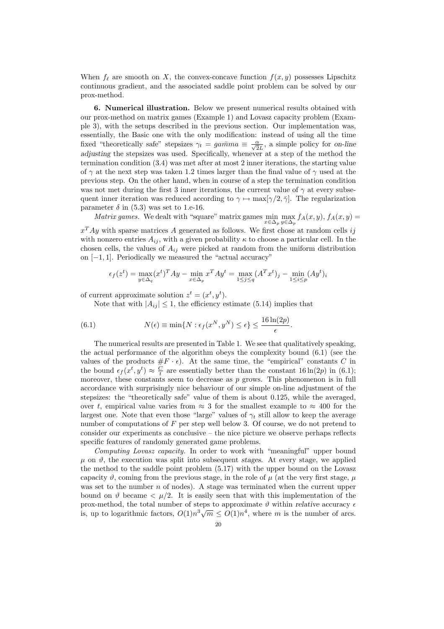When  $f_\ell$  are smooth on X, the convex-concave function  $f(x, y)$  possesses Lipschitz continuous gradient, and the associated saddle point problem can be solved by our prox-method.

6. Numerical illustration. Below we present numerical results obtained with our prox-method on matrix games (Example 1) and Lovasz capacity problem (Example 3), with the setups described in the previous section. Our implementation was, essentially, the Basic one with the only modification: instead of using all the time fixed "theoretically safe" stepsizes  $\gamma_t = ga\overline{m}ma \equiv \frac{\alpha}{\sqrt{2}L}$ , a simple policy for on-line adjusting the stepsizes was used. Specifically, whenever at a step of the method the termination condition (3.4) was met after at most 2 inner iterations, the starting value of  $\gamma$  at the next step was taken 1.2 times larger than the final value of  $\gamma$  used at the previous step. On the other hand, when in course of a step the termination condition was not met during the first 3 inner iterations, the current value of  $\gamma$  at every subsequent inner iteration was reduced according to  $\gamma \mapsto \max[\gamma/2, \overline{\gamma}]$ . The regularization parameter  $\delta$  in (5.3) was set to 1.e-16.

*Matrix games.* We dealt with "square" matrix games  $\min_{x \in \Delta_p} \max_{y \in \Delta_p} f_A(x, y)$ ,  $f_A(x, y) =$ 

 $x^T A y$  with sparse matrices A generated as follows. We first chose at random cells ij with nonzero entries  $A_{ij}$ , with a given probability  $\kappa$  to choose a particular cell. In the chosen cells, the values of  $A_{ij}$  were picked at random from the uniform distribution on [−1, 1]. Periodically we measured the "actual accuracy"

$$
\epsilon_f(z^t) = \max_{y \in \Delta_q} (x^t)^T A y - \min_{x \in \Delta_p} x^T A y^t = \max_{1 \le j \le q} (A^T x^t)_j - \min_{1 \le i \le p} (A y^t)_i
$$

of current approximate solution  $z^t = (x^t, y^t)$ .

Note that with  $|A_{ij}| \leq 1$ , the efficiency estimate (5.14) implies that

(6.1) 
$$
N(\epsilon) \equiv \min\{N : \epsilon_f(x^N, y^N) \le \epsilon\} \le \frac{16\ln(2p)}{\epsilon}.
$$

The numerical results are presented in Table 1. We see that qualitatively speaking, the actual performance of the algorithm obeys the complexity bound (6.1) (see the values of the products  $#F \cdot \epsilon$ . At the same time, the "empirical" constants C in the bound  $\epsilon_f(x^t, y^t) \approx \frac{C}{t}$  are essentially better than the constant 16 ln(2p) in (6.1); moreover, these constants seem to decrease as  $p$  grows. This phenomenon is in full accordance with surprisingly nice behaviour of our simple on-line adjustment of the stepsizes: the "theoretically safe" value of them is about 0.125, while the averaged, over t, empirical value varies from  $\approx 3$  for the smallest example to  $\approx 400$  for the largest one. Note that even those "large" values of  $\gamma_t$  still allow to keep the average number of computations of F per step well below 3. Of course, we do not pretend to consider our experiments as conclusive – the nice picture we observe perhaps reflects specific features of randomly generated game problems.

Computing Lovasz capacity. In order to work with "meaningful" upper bound  $\mu$  on  $\vartheta$ , the execution was split into subsequent stages. At every stage, we applied the method to the saddle point problem (5.17) with the upper bound on the Lovasz capacity  $\vartheta$ , coming from the previous stage, in the role of  $\mu$  (at the very first stage,  $\mu$ was set to the number  $n$  of nodes). A stage was terminated when the current upper bound on  $\vartheta$  became  $\langle \mu/2 \rangle$ . It is easily seen that with this implementation of the prox-method, the total number of steps to approximate  $\vartheta$  within relative accuracy  $\epsilon$ prox-method, the total number of steps to approximate v within relative accuracy  $\epsilon$  is, up to logarithmic factors,  $O(1)n^3\sqrt{m} \leq O(1)n^4$ , where m is the number of arcs.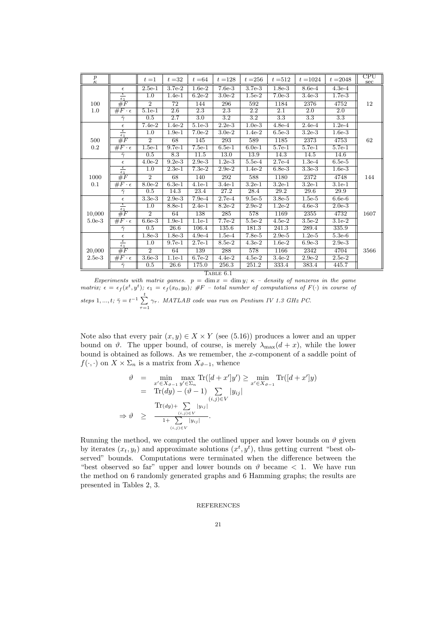| $\boldsymbol{p}$<br>$\kappa$ |                                       | $t=1$                | $t=32$   | $t = 64$         | $t = 128$        | $t = 256$        | $t = 512$        | $t = 1024$       | $t = 2048$       | $_{\rm CPU}$<br>sec |
|------------------------------|---------------------------------------|----------------------|----------|------------------|------------------|------------------|------------------|------------------|------------------|---------------------|
|                              | $\epsilon$                            | $2.5e-1$             | $3.7e-2$ | $1.6e-2$         | $7.6e-3$         | $3.7e-3$         | $1.8e-3$         | 8.6e-4           | $4.3e-4$         |                     |
|                              | $\epsilon$<br>$\epsilon_1$            | $\overline{1.0}$     | $1.4e-1$ | $6.2e-2$         | $3.0e-2$         | $1.5e-2$         | $7.0e-3$         | $3.4e-3$         | $1.7e-3$         |                     |
| 100                          | #F                                    | $\overline{2}$       | 72       | 144              | 296              | 592              | 1184             | 2376             | 4752             | 12                  |
| 1.0                          | $\#F\cdot\epsilon$                    | $5.1e-1$             | 2.6      | 2.3              | 2.3              | 2.2              | 2.1              | 2.0              | 2.0              |                     |
|                              | $\bar{\gamma}$                        | 0.5                  | 2.7      | $\overline{3.0}$ | $\overline{3.2}$ | $\overline{3.2}$ | $\overline{3.3}$ | $\overline{3.3}$ | $\overline{3.3}$ |                     |
|                              | $\epsilon$                            | $7.4e-2$             | $1.4e-2$ | $5.1e-3$         | $2.2e-3$         | $1.0e-3$         | $4.8e-4$         | $2.4e-4$         | $1.2e-4$         |                     |
|                              | $\overline{\epsilon}$<br>$\epsilon_1$ | 1.0                  | $1.9e-1$ | $7.0e-2$         | $3.0e-2$         | $1.4e-2$         | $6.5e-3$         | $3.2e-3$         | $1.6e-3$         |                     |
| 500                          | #F                                    | $\overline{2}$       | 68       | 145              | 293              | 589              | 1185             | 2373             | 4753             | 62                  |
| 0.2                          | $\#F\cdot\epsilon$                    | $1.5e-1$             | $9.7e-1$ | $7.5e-1$         | $6.5e-1$         | $6.0e-1$         | $5.7e-1$         | $5.7e-1$         | $5.7e-1$         |                     |
|                              | $\bar{\gamma}$                        | 0.5                  | 8.3      | 11.5             | 13.0             | 13.9             | 14.3             | 14.5             | 14.6             |                     |
|                              | $\epsilon$                            | $\overline{4}$ .0e-2 | $9.2e-3$ | $2.9e-3$         | $1.2e-3$         | $5.5e-4$         | $2.7e-4$         | $1.3e-4$         | $6.5e-5$         |                     |
|                              | $rac{\epsilon}{\epsilon_1}$           | 1.0                  | $2.3e-1$ | $7.3e-2$         | $2.9e-2$         | $1.4e-2$         | $6.8e-3$         | $3.3e-3$         | $1.6e-3$         |                     |
| 1000                         | #F                                    | $\overline{2}$       | 68       | 140              | 292              | 588              | 1180             | 2372             | 4748             | 144                 |
| 0.1                          | $\overline{\#F\cdot\epsilon}$         | $8.0e-2$             | $6.3e-1$ | $4.1e-1$         | $3.4e-1$         | $3.2e-1$         | $3.2e-1$         | $3.2e-1$         | $3.1e-1$         |                     |
|                              | $\bar{\gamma}$                        | 0.5                  | 14.3     | 23.4             | 27.2             | 28.4             | 29.2             | 29.6             | 29.9             |                     |
|                              | $\epsilon$                            | $3.3e-3$             | $2.9e-3$ | $7.9e-4$         | $2.7e-4$         | $9.5e-5$         | $3.8e-5$         | $1.5e-5$         | $6.6e-6$         |                     |
|                              | $rac{\epsilon}{\epsilon_1}$           | 1.0                  | $8.8e-1$ | $2.4e-1$         | $8.2e-2$         | $2.9e-2$         | $1.2e-2$         | $4.6e-3$         | $2.0e-3$         |                     |
| 10,000                       | #F                                    | $\overline{2}$       | 64       | 138              | 285              | 578              | 1169             | 2355             | 4732             | 1607                |
| $5.0e-3$                     | $\overline{F\cdot\epsilon}$           | $6.6e-3$             | $1.9e-1$ | $1.1e-1$         | $7.7e-2$         | $5.5e-2$         | $4.5e-2$         | $3.5e-2$         | $3.1e-2$         |                     |
|                              | $\bar{\gamma}$                        | 0.5                  | 26.6     | 106.4            | 135.6            | 181.3            | 241.3            | 289.4            | 335.9            |                     |
|                              | $\epsilon$                            | $1.8e-3$             | $1.8e-3$ | $4.9e-4$         | $1.5e-4$         | $7.8e-5$         | $2.9e-5$         | $1.2e-5$         | $5.3e-6$         |                     |
|                              | $\epsilon$<br>$\epsilon_1$            | 1.0                  | $9.7e-1$ | $2.7e-1$         | 8.5e-2           | $4.3e-2$         | $1.6e-2$         | $6.9e-3$         | $2.9e-3$         |                     |
| 20,000                       | #F                                    | $\overline{2}$       | 64       | 139              | 288              | 578              | 1166             | 2342             | 4704             | 3566                |
| $2.5e-3$                     | $\overline{F\cdot\epsilon}$           | $3.6e-3$             | $1.1e-1$ | $6.7e-2$         | $4.4e-2$         | $4.5e-2$         | $3.4e-2$         | $2.9e-2$         | $2.5e-2$         |                     |
|                              | $\bar{\gamma}$                        | 0.5                  | 26.6     | 175.0            | 256.3            | 251.2            | 333.4            | 383.4            | 445.7            |                     |

TABLE  $6.1$ 

Experiments with matrix games.  $p = \dim x = \dim y$ ;  $\kappa$  – density of nonzeros in the game matrix;  $\epsilon = \epsilon_f(x^t, y^t); \epsilon_1 = \epsilon_f(x_0, y_0); \#F$  – total number of computations of  $F(\cdot)$  in course of steps 1, ...,  $t; \bar{\gamma} = t^{-1} \sum_{i=1}^{t}$  $\sum_{\tau=1} \gamma_{\tau}$ . MATLAB code was run on Pentium IV 1.3 GHz PC.

Note also that every pair  $(x, y) \in X \times Y$  (see (5.16)) produces a lower and an upper bound on  $\vartheta$ . The upper bound, of course, is merely  $\lambda_{\max}(d+x)$ , while the lower bound is obtained as follows. As we remember, the x-component of a saddle point of  $f(\cdot, \cdot)$  on  $X \times \Sigma_n$  is a matrix from  $X_{\vartheta-1}$ , whence

$$
\vartheta = \min_{\substack{x' \in X_{\vartheta - 1} \ y' \in \Sigma_n \\ \text{Tr}(dy) - (\vartheta - 1) \sum_{(i,j) \in V} |y_{ij}|}} \min_{\substack{x' \in X_{\vartheta - 1} \\ y_{ij}}} \text{Tr}([d + x']y) \\
= \text{Tr}(dy) - (\vartheta - 1) \sum_{(i,j) \in V} |y_{ij}| \\
\Rightarrow \vartheta \ge \frac{\text{Tr}(dy) + \sum_{(i,j) \in V} |y_{ij}|}{1 + \sum_{(i,j) \in V} |y_{ij}|}.
$$

Running the method, we computed the outlined upper and lower bounds on  $\vartheta$  given by iterates  $(x_t, y_t)$  and approximate solutions  $(x^t, y^t)$ , thus getting current "best observed" bounds. Computations were terminated when the difference between the "best observed so far" upper and lower bounds on  $\vartheta$  became  $\lt$  1. We have run the method on 6 randomly generated graphs and 6 Hamming graphs; the results are presented in Tables 2, 3.

## REFERENCES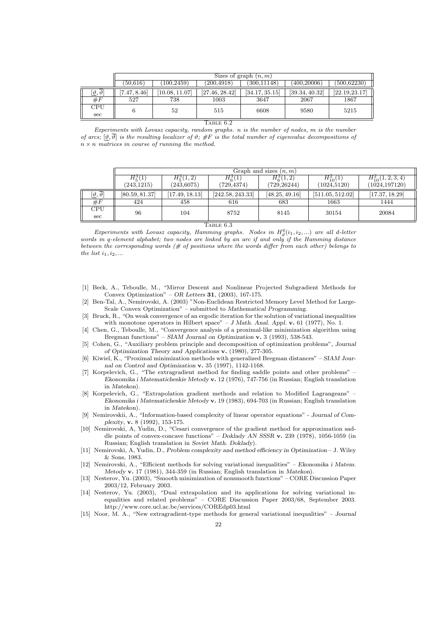|                                    | Sizes of graph $(n, m)$ |                |                |                |                |               |  |  |
|------------------------------------|-------------------------|----------------|----------------|----------------|----------------|---------------|--|--|
|                                    | (50.616)                | (100, 2459)    | (200, 4918)    | (300.11148)    | (400, 20006)   | (500, 62230)  |  |  |
| $[\vartheta,\overline{\vartheta}]$ | [7.47, 8.46]            | [10.08, 11.07] | [27.46, 28.42] | [34.17, 35.15] | [39.34, 40.32] | [22.19.23.17] |  |  |
| $\#F$                              | 527                     | 738            | 1003           | 3647           | 2067           | 1867          |  |  |
| CPU<br>sec                         |                         | 52             | 515            | 6608           | 9580           | 5215          |  |  |

### TABLE  $6.2$

Experiments with Lovasz capacity, random graphs. n is the number of nodes, m is the number of arcs;  $[\vartheta, \overline{\vartheta}]$  is the resulting localizer of  $\vartheta$ ; #F is the total number of eigenvalue decompositions of  $n \times n$  matrices in course of running the method.

|                                | Graph and sizes $(n, m)$ |                |                  |                |                  |                     |  |  |
|--------------------------------|--------------------------|----------------|------------------|----------------|------------------|---------------------|--|--|
|                                | $H_5^3(1)$               | $H^3_{5}(1,2)$ | $H_6^3(1)$       | $H_6^3(1,2)$   | $H_{10}^2(1)$    | $H_{10}^2(1,2,3,4)$ |  |  |
|                                | (243, 1215)              | (243, 6075)    | (729, 4374)      | (729,26244)    | (1024, 5120)     | (1024, 197120)      |  |  |
| $[\vartheta,\vartheta]$        | [80.59, 81.37]           | 17.49, 18.13   | [242.58, 243.33] | [48.25, 49.16] | [511.05, 512.02] | [17.37, 18.29]      |  |  |
| $\#F$                          | 424                      | 458            | 616              | 683            | 1663             | 1444                |  |  |
| $\overline{\text{CPU}}$<br>sec | 96                       | 104            | 8752             | 8145           | 30154            | 20084               |  |  |

TABLE 6.3

Experiments with Lovasz capacity, Hamming graphs. Nodes in  $H_d^q(i_1, i_2,...)$  are all d-letter words in q-element alphabet; two nodes are linked by an arc if and only if the Hamming distance between the corresponding words  $(\# \text{ of positions where the words differ from each other})$  belongs to the list  $i_1, i_2, \ldots$ 

- [1] Beck, A., Teboulle, M., "Mirror Descent and Nonlinear Projected Subgradient Methods for Convex Optimization" – OR Letters 31,  $(2003)$ , 167-175.
- [2] Ben-Tal, A., Nemirovski, A. (2003) "Non-Euclidean Restricted Memory Level Method for Large-Scale Convex Optimization" – submitted to Mathematical Programming.
- [3] Bruck, R., "On weak convergence of an ergodic iteration for the solution of variational inequalities with monotone operators in Hilbert space" – J Math. Anal. Appl.  $\bf{v}$ . 61 (1977), No. 1.
- [4] Chen, G., Teboulle, M., "Convergence analysis of a proximal-like minimization algorithm using Bregman functions" – SIAM Journal on Optimization v. 3 (1993), 538-543.
- [5] Cohen, G., "Auxiliary problem principle and decomposition of optimization problems", Journal of Optimization Theory and Applications v. (1980), 277-305.
- [6] Kiwiel, K., "Proximal minimization methods with generalized Bregman distances" SIAM Journal on Control and Optimization v. 35 (1997), 1142-1168.
- [7] Korpelevich, G., "The extragradient method for finding saddle points and other problems" Ekonomika i Matematicheskie Metody v. 12 (1976), 747-756 (in Russian; English translation in Matekon).
- [8] Korpelevich, G., "Extrapolation gradient methods and relation to Modified Lagrangeans" Ekonomika i Matematicheskie Metody v. 19 (1983), 694-703 (in Russian; English translation in Matekon).
- [9] Nemirovskii, A., "Information-based complexity of linear operator equations" Journal of Complexity, v. 8 (1992), 153-175.
- [10] Nemirovski, A, Yudin, D., "Cesari convergence of the gradient method for approximation saddle points of convex-concave functions" – Doklady AN SSSR v. 239 (1978), 1056-1059 (in Russian; English translation in Soviet Math. Doklady).
- [11] Nemirovski, A, Yudin, D., Problem complexity and method efficiency in Optimization J. Wiley & Sons, 1983.
- [12] Nemirovski, A., "Efficient methods for solving variational inequalities" Ekonomika i Matem. Metody v. 17 (1981), 344-359 (in Russian; English translation in Matekon).
- [13] Nesterov, Yu. (2003), "Smooth minimization of nonsmooth functions" CORE Discussion Paper 2003/12, February 2003.
- [14] Nesterov, Yu. (2003), "Dual extrapolation and its applications for solving variational inequalities and related problems" – CORE Discussion Paper 2003/68, September 2003. http://www.core.ucl.ac.be/services/COREdp03.html
- [15] Noor, M. A., "New extragradient-type methods for general variational inequalities" Journal